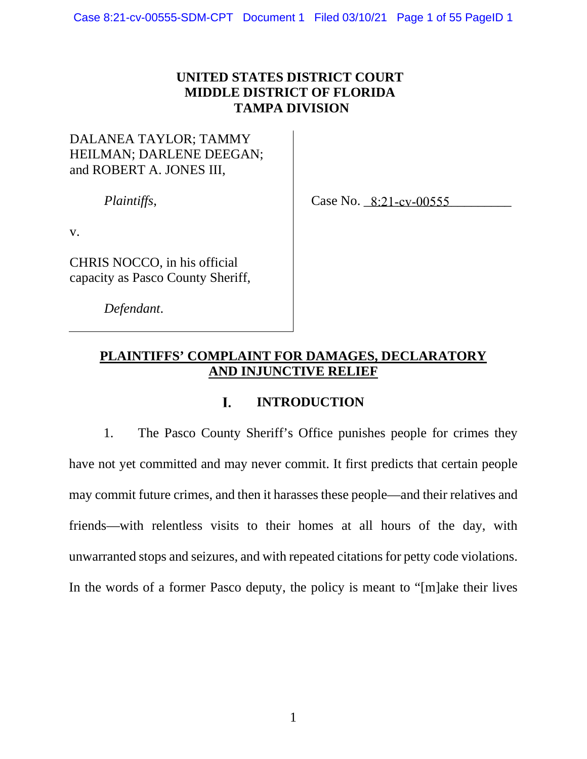# **UNITED STATES DISTRICT COURT MIDDLE DISTRICT OF FLORIDA TAMPA DIVISION**

# DALANEA TAYLOR; TAMMY HEILMAN; DARLENE DEEGAN; and ROBERT A. JONES III,

*Plaintiffs*,

Case No. 8:21-cv-00555

v.

CHRIS NOCCO, in his official capacity as Pasco County Sheriff,

*Defendant*.

# **PLAINTIFFS' COMPLAINT FOR DAMAGES, DECLARATORY AND INJUNCTIVE RELIEF**

## **INTRODUCTION** L

1. The Pasco County Sheriff's Office punishes people for crimes they have not yet committed and may never commit. It first predicts that certain people may commit future crimes, and then it harasses these people—and their relatives and friends—with relentless visits to their homes at all hours of the day, with unwarranted stops and seizures, and with repeated citations for petty code violations. In the words of a former Pasco deputy, the policy is meant to "[m]ake their lives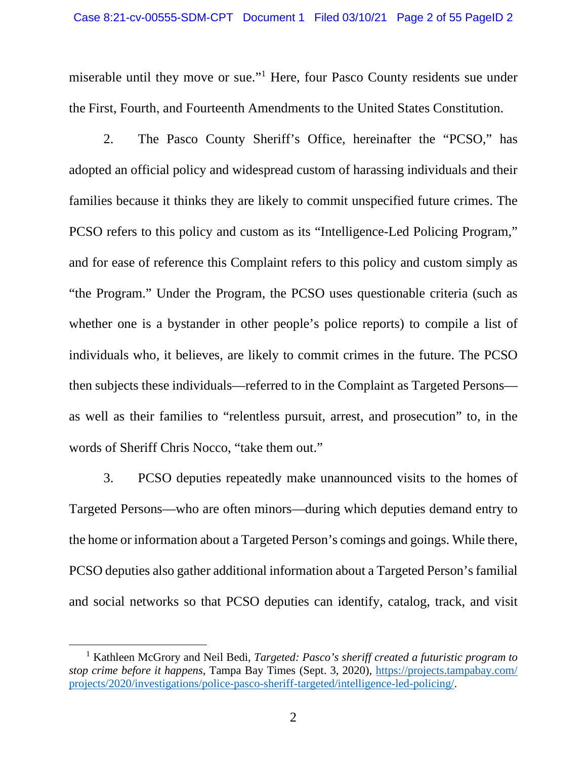miserable until they move or sue[."](#page-1-0)<sup>1</sup> Here, four Pasco County residents sue under the First, Fourth, and Fourteenth Amendments to the United States Constitution.

2. The Pasco County Sheriff's Office, hereinafter the "PCSO," has adopted an official policy and widespread custom of harassing individuals and their families because it thinks they are likely to commit unspecified future crimes. The PCSO refers to this policy and custom as its "Intelligence-Led Policing Program," and for ease of reference this Complaint refers to this policy and custom simply as "the Program." Under the Program, the PCSO uses questionable criteria (such as whether one is a bystander in other people's police reports) to compile a list of individuals who, it believes, are likely to commit crimes in the future. The PCSO then subjects these individuals—referred to in the Complaint as Targeted Persons as well as their families to "relentless pursuit, arrest, and prosecution" to, in the words of Sheriff Chris Nocco, "take them out."

3. PCSO deputies repeatedly make unannounced visits to the homes of Targeted Persons—who are often minors—during which deputies demand entry to the home or information about a Targeted Person's comings and goings. While there, PCSO deputies also gather additional information about a Targeted Person's familial and social networks so that PCSO deputies can identify, catalog, track, and visit

<span id="page-1-0"></span><sup>&</sup>lt;sup>1</sup> Kathleen McGrory and Neil Bedi, *Targeted: Pasco's sheriff created a futuristic program to stop crime before it happens*, Tampa Bay Times (Sept. 3, 2020), [https://projects.tampabay.com/](https://projects.tampabay.com/projects/2020/investigations/police-pasco-sheriff-targeted/intelligence-led-policing/) [projects/2020/investigations/police-pasco-sheriff-targeted/intelligence-led-policing/.](https://projects.tampabay.com/projects/2020/investigations/police-pasco-sheriff-targeted/intelligence-led-policing/)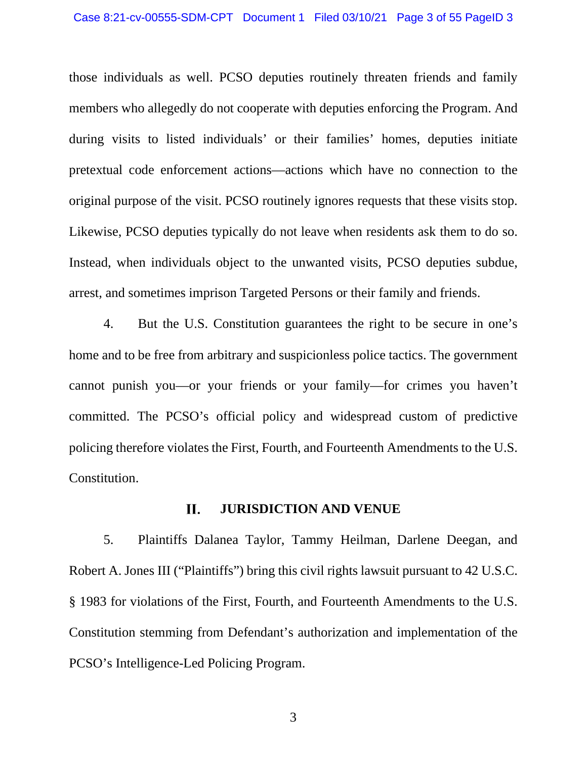those individuals as well. PCSO deputies routinely threaten friends and family members who allegedly do not cooperate with deputies enforcing the Program. And during visits to listed individuals' or their families' homes, deputies initiate pretextual code enforcement actions—actions which have no connection to the original purpose of the visit. PCSO routinely ignores requests that these visits stop. Likewise, PCSO deputies typically do not leave when residents ask them to do so. Instead, when individuals object to the unwanted visits, PCSO deputies subdue, arrest, and sometimes imprison Targeted Persons or their family and friends.

4. But the U.S. Constitution guarantees the right to be secure in one's home and to be free from arbitrary and suspicionless police tactics. The government cannot punish you—or your friends or your family—for crimes you haven't committed. The PCSO's official policy and widespread custom of predictive policing therefore violates the First, Fourth, and Fourteenth Amendments to the U.S. Constitution.

### II. **JURISDICTION AND VENUE**

5. Plaintiffs Dalanea Taylor, Tammy Heilman, Darlene Deegan, and Robert A. Jones III ("Plaintiffs") bring this civil rights lawsuit pursuant to 42 U.S.C. § 1983 for violations of the First, Fourth, and Fourteenth Amendments to the U.S. Constitution stemming from Defendant's authorization and implementation of the PCSO's Intelligence-Led Policing Program.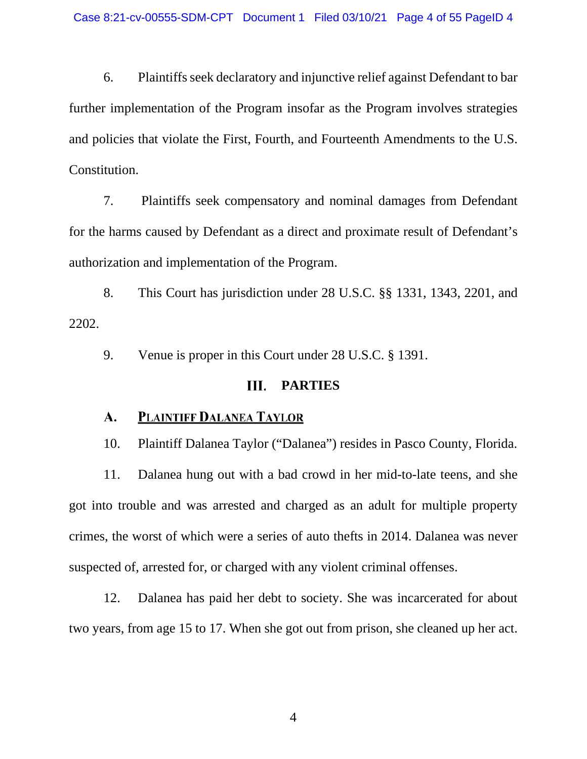6. Plaintiffs seek declaratory and injunctive relief against Defendant to bar further implementation of the Program insofar as the Program involves strategies and policies that violate the First, Fourth, and Fourteenth Amendments to the U.S. Constitution.

7. Plaintiffs seek compensatory and nominal damages from Defendant for the harms caused by Defendant as a direct and proximate result of Defendant's authorization and implementation of the Program.

8. This Court has jurisdiction under 28 U.S.C. §§ 1331, 1343, 2201, and 2202.

9. Venue is proper in this Court under 28 U.S.C. § 1391.

### Ш. **PARTIES**

### **PLAINTIFF DALANEA TAYLOR** A.

10. Plaintiff Dalanea Taylor ("Dalanea") resides in Pasco County, Florida.

11. Dalanea hung out with a bad crowd in her mid-to-late teens, and she got into trouble and was arrested and charged as an adult for multiple property crimes, the worst of which were a series of auto thefts in 2014. Dalanea was never suspected of, arrested for, or charged with any violent criminal offenses.

12. Dalanea has paid her debt to society. She was incarcerated for about two years, from age 15 to 17. When she got out from prison, she cleaned up her act.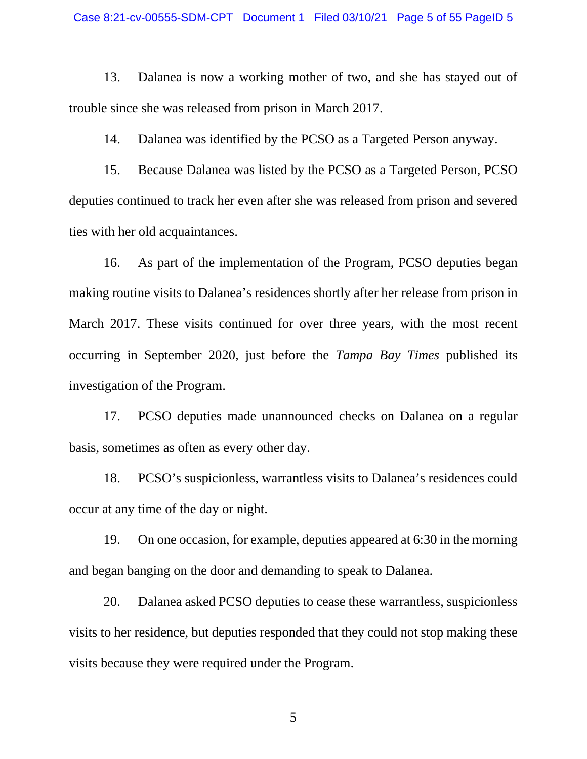13. Dalanea is now a working mother of two, and she has stayed out of trouble since she was released from prison in March 2017.

14. Dalanea was identified by the PCSO as a Targeted Person anyway.

15. Because Dalanea was listed by the PCSO as a Targeted Person, PCSO deputies continued to track her even after she was released from prison and severed ties with her old acquaintances.

16. As part of the implementation of the Program, PCSO deputies began making routine visits to Dalanea's residences shortly after her release from prison in March 2017. These visits continued for over three years, with the most recent occurring in September 2020, just before the *Tampa Bay Times* published its investigation of the Program.

17. PCSO deputies made unannounced checks on Dalanea on a regular basis, sometimes as often as every other day.

18. PCSO's suspicionless, warrantless visits to Dalanea's residences could occur at any time of the day or night.

19. On one occasion, for example, deputies appeared at 6:30 in the morning and began banging on the door and demanding to speak to Dalanea.

20. Dalanea asked PCSO deputies to cease these warrantless, suspicionless visits to her residence, but deputies responded that they could not stop making these visits because they were required under the Program.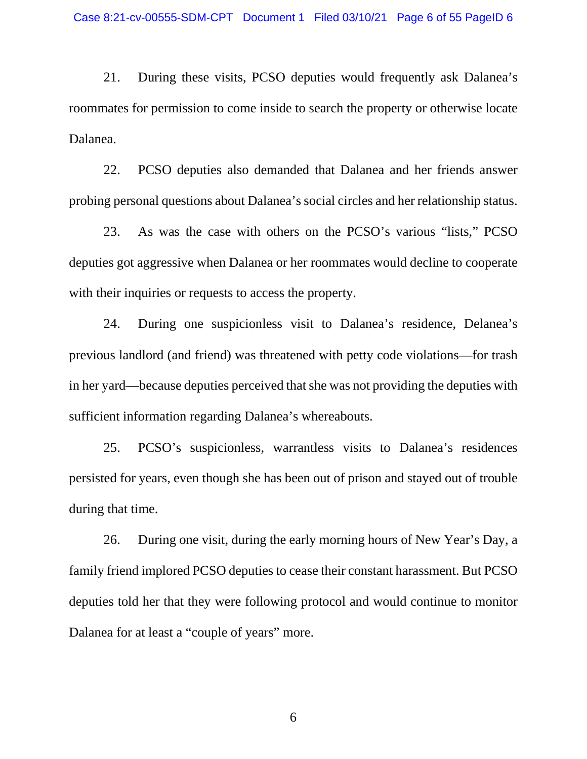21. During these visits, PCSO deputies would frequently ask Dalanea's roommates for permission to come inside to search the property or otherwise locate Dalanea.

22. PCSO deputies also demanded that Dalanea and her friends answer probing personal questions about Dalanea's social circles and her relationship status.

23. As was the case with others on the PCSO's various "lists," PCSO deputies got aggressive when Dalanea or her roommates would decline to cooperate with their inquiries or requests to access the property.

24. During one suspicionless visit to Dalanea's residence, Delanea's previous landlord (and friend) was threatened with petty code violations—for trash in her yard—because deputies perceived that she was not providing the deputies with sufficient information regarding Dalanea's whereabouts.

25. PCSO's suspicionless, warrantless visits to Dalanea's residences persisted for years, even though she has been out of prison and stayed out of trouble during that time.

26. During one visit, during the early morning hours of New Year's Day, a family friend implored PCSO deputies to cease their constant harassment. But PCSO deputies told her that they were following protocol and would continue to monitor Dalanea for at least a "couple of years" more.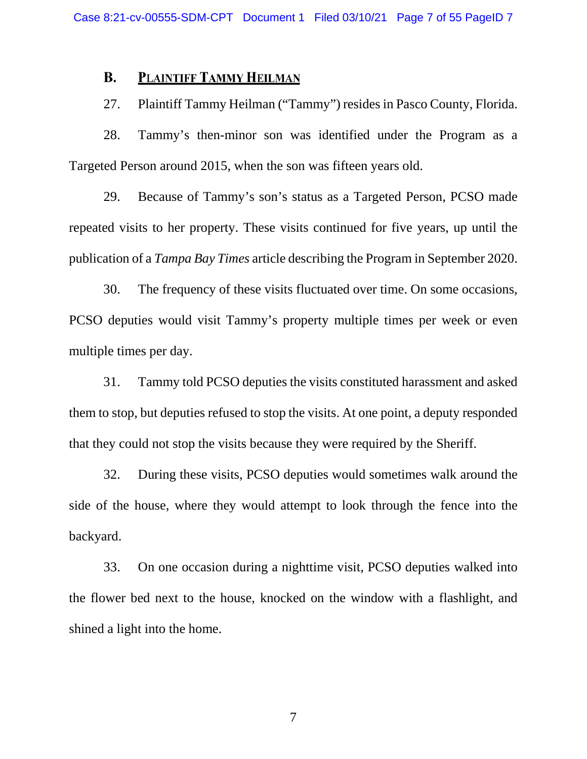### **B. PLAINTIFF TAMMY HEILMAN**

## 27. Plaintiff Tammy Heilman ("Tammy") resides in Pasco County, Florida.

28. Tammy's then-minor son was identified under the Program as a Targeted Person around 2015, when the son was fifteen years old.

29. Because of Tammy's son's status as a Targeted Person, PCSO made repeated visits to her property. These visits continued for five years, up until the publication of a *Tampa Bay Times* article describing the Program in September 2020.

30. The frequency of these visits fluctuated over time. On some occasions, PCSO deputies would visit Tammy's property multiple times per week or even multiple times per day.

31. Tammy told PCSO deputies the visits constituted harassment and asked them to stop, but deputies refused to stop the visits. At one point, a deputy responded that they could not stop the visits because they were required by the Sheriff.

32. During these visits, PCSO deputies would sometimes walk around the side of the house, where they would attempt to look through the fence into the backyard.

33. On one occasion during a nighttime visit, PCSO deputies walked into the flower bed next to the house, knocked on the window with a flashlight, and shined a light into the home.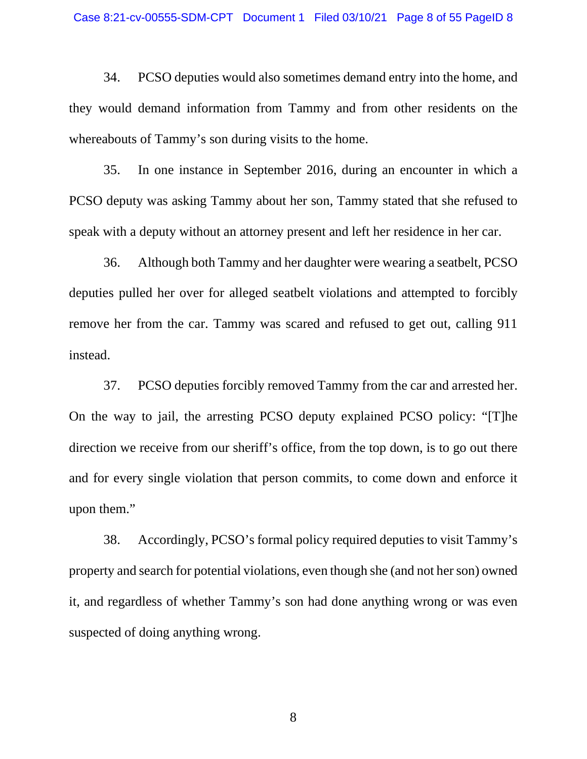34. PCSO deputies would also sometimes demand entry into the home, and they would demand information from Tammy and from other residents on the whereabouts of Tammy's son during visits to the home.

35. In one instance in September 2016, during an encounter in which a PCSO deputy was asking Tammy about her son, Tammy stated that she refused to speak with a deputy without an attorney present and left her residence in her car.

36. Although both Tammy and her daughter were wearing a seatbelt, PCSO deputies pulled her over for alleged seatbelt violations and attempted to forcibly remove her from the car. Tammy was scared and refused to get out, calling 911 instead.

37. PCSO deputies forcibly removed Tammy from the car and arrested her. On the way to jail, the arresting PCSO deputy explained PCSO policy: "[T]he direction we receive from our sheriff's office, from the top down, is to go out there and for every single violation that person commits, to come down and enforce it upon them."

38. Accordingly, PCSO's formal policy required deputies to visit Tammy's property and search for potential violations, even though she (and not her son) owned it, and regardless of whether Tammy's son had done anything wrong or was even suspected of doing anything wrong.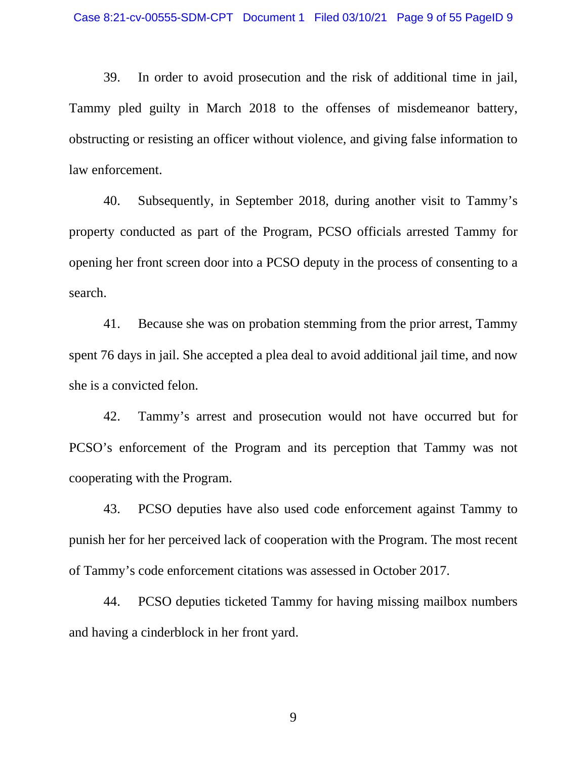39. In order to avoid prosecution and the risk of additional time in jail, Tammy pled guilty in March 2018 to the offenses of misdemeanor battery, obstructing or resisting an officer without violence, and giving false information to law enforcement.

40. Subsequently, in September 2018, during another visit to Tammy's property conducted as part of the Program, PCSO officials arrested Tammy for opening her front screen door into a PCSO deputy in the process of consenting to a search.

41. Because she was on probation stemming from the prior arrest, Tammy spent 76 days in jail. She accepted a plea deal to avoid additional jail time, and now she is a convicted felon.

42. Tammy's arrest and prosecution would not have occurred but for PCSO's enforcement of the Program and its perception that Tammy was not cooperating with the Program.

43. PCSO deputies have also used code enforcement against Tammy to punish her for her perceived lack of cooperation with the Program. The most recent of Tammy's code enforcement citations was assessed in October 2017.

44. PCSO deputies ticketed Tammy for having missing mailbox numbers and having a cinderblock in her front yard.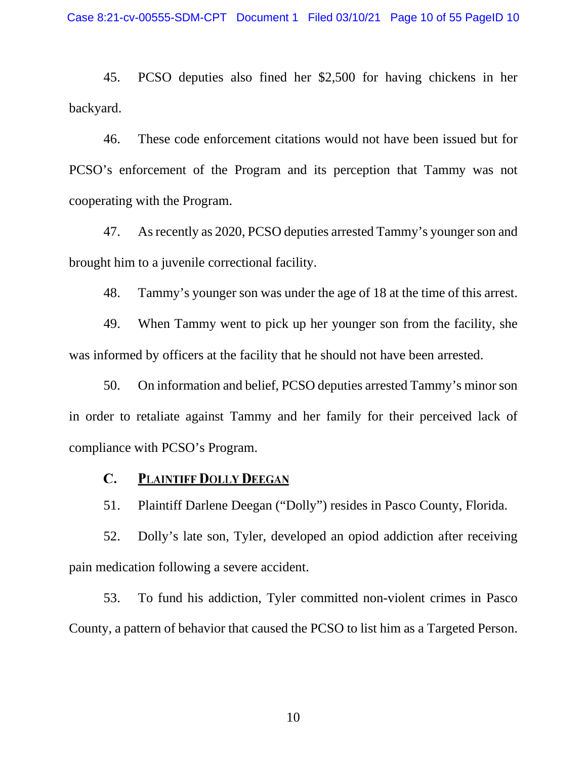45. PCSO deputies also fined her \$2,500 for having chickens in her backyard.

46. These code enforcement citations would not have been issued but for PCSO's enforcement of the Program and its perception that Tammy was not cooperating with the Program.

47. As recently as 2020, PCSO deputies arrested Tammy's youngerson and brought him to a juvenile correctional facility.

48. Tammy's younger son was under the age of 18 at the time of this arrest.

49. When Tammy went to pick up her younger son from the facility, she was informed by officers at the facility that he should not have been arrested.

50. On information and belief, PCSO deputies arrested Tammy's minor son in order to retaliate against Tammy and her family for their perceived lack of compliance with PCSO's Program.

## $\mathbf{C}$ . **PLAINTIFF DOLLY DEEGAN**

51. Plaintiff Darlene Deegan ("Dolly") resides in Pasco County, Florida.

52. Dolly's late son, Tyler, developed an opiod addiction after receiving pain medication following a severe accident.

53. To fund his addiction, Tyler committed non-violent crimes in Pasco County, a pattern of behavior that caused the PCSO to list him as a Targeted Person.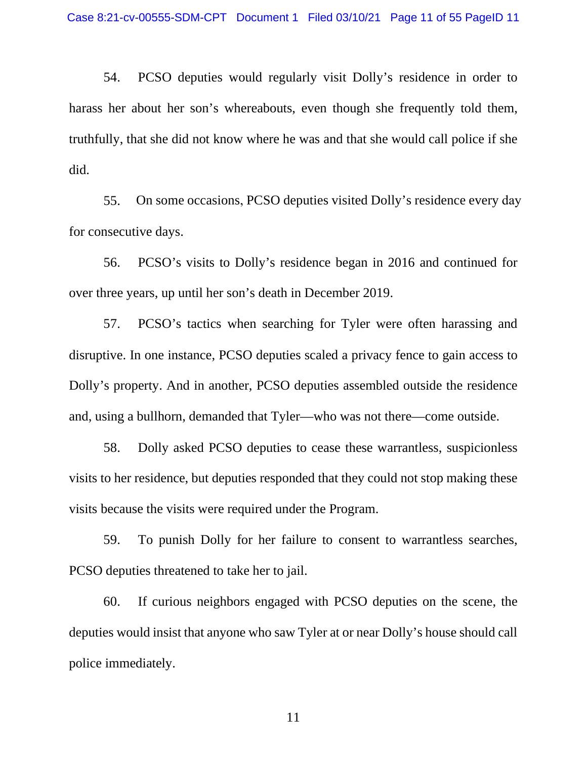54. PCSO deputies would regularly visit Dolly's residence in order to harass her about her son's whereabouts, even though she frequently told them, truthfully, that she did not know where he was and that she would call police if she did.

55. On some occasions, PCSO deputies visited Dolly's residence every day for consecutive days.

56. PCSO's visits to Dolly's residence began in 2016 and continued for over three years, up until her son's death in December 2019.

57. PCSO's tactics when searching for Tyler were often harassing and disruptive. In one instance, PCSO deputies scaled a privacy fence to gain access to Dolly's property. And in another, PCSO deputies assembled outside the residence and, using a bullhorn, demanded that Tyler—who was not there—come outside.

58. Dolly asked PCSO deputies to cease these warrantless, suspicionless visits to her residence, but deputies responded that they could not stop making these visits because the visits were required under the Program.

59. To punish Dolly for her failure to consent to warrantless searches, PCSO deputies threatened to take her to jail.

60. If curious neighbors engaged with PCSO deputies on the scene, the deputies would insist that anyone who saw Tyler at or near Dolly's house should call police immediately.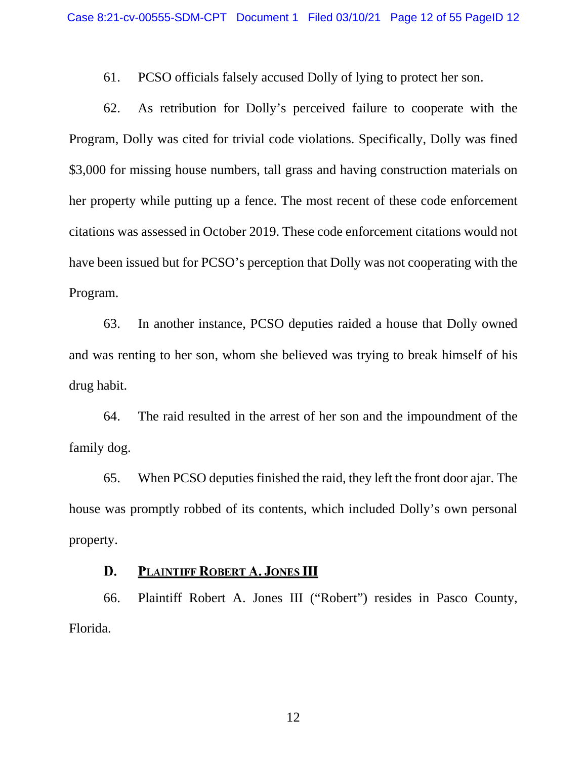61. PCSO officials falsely accused Dolly of lying to protect her son.

62. As retribution for Dolly's perceived failure to cooperate with the Program, Dolly was cited for trivial code violations. Specifically, Dolly was fined \$3,000 for missing house numbers, tall grass and having construction materials on her property while putting up a fence. The most recent of these code enforcement citations was assessed in October 2019. These code enforcement citations would not have been issued but for PCSO's perception that Dolly was not cooperating with the Program.

63. In another instance, PCSO deputies raided a house that Dolly owned and was renting to her son, whom she believed was trying to break himself of his drug habit.

64. The raid resulted in the arrest of her son and the impoundment of the family dog.

65. When PCSO deputies finished the raid, they left the front door ajar. The house was promptly robbed of its contents, which included Dolly's own personal property.

### PLAINTIFF ROBERT A. JONES III D.

66. Plaintiff Robert A. Jones III ("Robert") resides in Pasco County, Florida.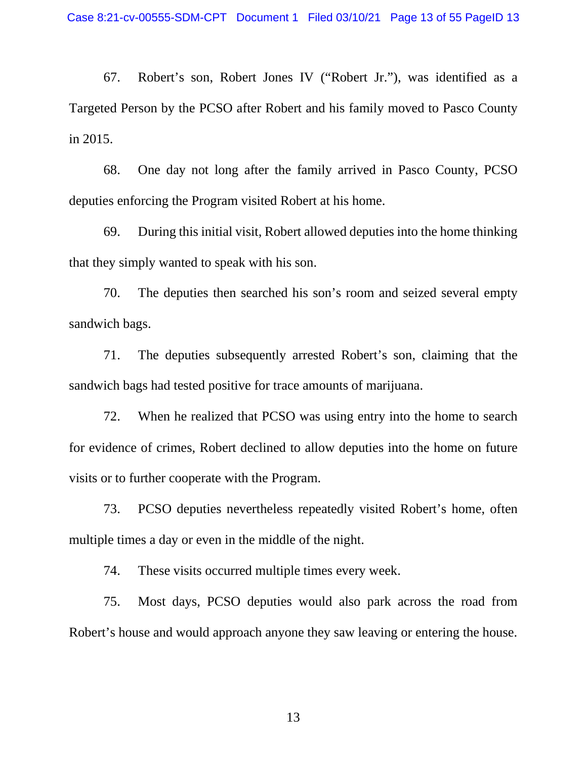67. Robert's son, Robert Jones IV ("Robert Jr."), was identified as a Targeted Person by the PCSO after Robert and his family moved to Pasco County in 2015.

68. One day not long after the family arrived in Pasco County, PCSO deputies enforcing the Program visited Robert at his home.

69. During this initial visit, Robert allowed deputies into the home thinking that they simply wanted to speak with his son.

70. The deputies then searched his son's room and seized several empty sandwich bags.

71. The deputies subsequently arrested Robert's son, claiming that the sandwich bags had tested positive for trace amounts of marijuana.

72. When he realized that PCSO was using entry into the home to search for evidence of crimes, Robert declined to allow deputies into the home on future visits or to further cooperate with the Program.

73. PCSO deputies nevertheless repeatedly visited Robert's home, often multiple times a day or even in the middle of the night.

74. These visits occurred multiple times every week.

75. Most days, PCSO deputies would also park across the road from Robert's house and would approach anyone they saw leaving or entering the house.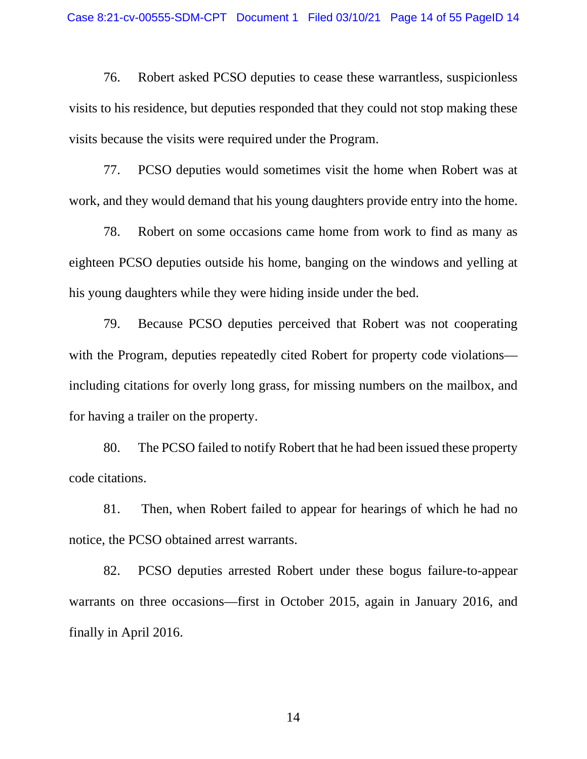76. Robert asked PCSO deputies to cease these warrantless, suspicionless visits to his residence, but deputies responded that they could not stop making these visits because the visits were required under the Program.

77. PCSO deputies would sometimes visit the home when Robert was at work, and they would demand that his young daughters provide entry into the home.

78. Robert on some occasions came home from work to find as many as eighteen PCSO deputies outside his home, banging on the windows and yelling at his young daughters while they were hiding inside under the bed.

79. Because PCSO deputies perceived that Robert was not cooperating with the Program, deputies repeatedly cited Robert for property code violations including citations for overly long grass, for missing numbers on the mailbox, and for having a trailer on the property.

80. The PCSO failed to notify Robert that he had been issued these property code citations.

81. Then, when Robert failed to appear for hearings of which he had no notice, the PCSO obtained arrest warrants.

82. PCSO deputies arrested Robert under these bogus failure-to-appear warrants on three occasions—first in October 2015, again in January 2016, and finally in April 2016.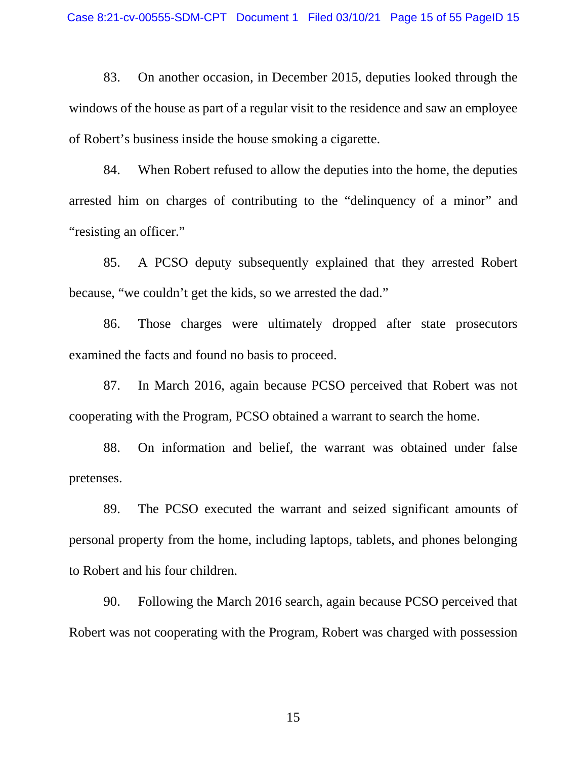83. On another occasion, in December 2015, deputies looked through the windows of the house as part of a regular visit to the residence and saw an employee of Robert's business inside the house smoking a cigarette.

84. When Robert refused to allow the deputies into the home, the deputies arrested him on charges of contributing to the "delinquency of a minor" and "resisting an officer."

85. A PCSO deputy subsequently explained that they arrested Robert because, "we couldn't get the kids, so we arrested the dad."

86. Those charges were ultimately dropped after state prosecutors examined the facts and found no basis to proceed.

87. In March 2016, again because PCSO perceived that Robert was not cooperating with the Program, PCSO obtained a warrant to search the home.

88. On information and belief, the warrant was obtained under false pretenses.

89. The PCSO executed the warrant and seized significant amounts of personal property from the home, including laptops, tablets, and phones belonging to Robert and his four children.

90. Following the March 2016 search, again because PCSO perceived that Robert was not cooperating with the Program, Robert was charged with possession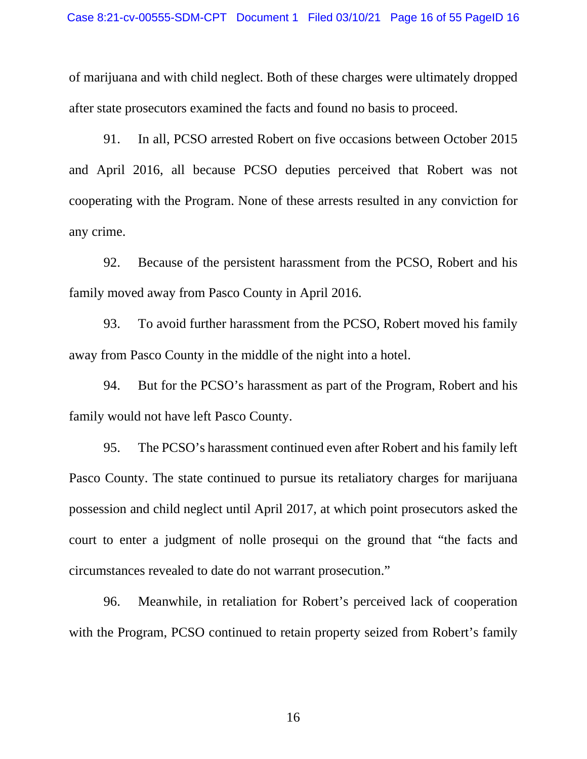of marijuana and with child neglect. Both of these charges were ultimately dropped after state prosecutors examined the facts and found no basis to proceed.

91. In all, PCSO arrested Robert on five occasions between October 2015 and April 2016, all because PCSO deputies perceived that Robert was not cooperating with the Program. None of these arrests resulted in any conviction for any crime.

92. Because of the persistent harassment from the PCSO, Robert and his family moved away from Pasco County in April 2016.

93. To avoid further harassment from the PCSO, Robert moved his family away from Pasco County in the middle of the night into a hotel.

94. But for the PCSO's harassment as part of the Program, Robert and his family would not have left Pasco County.

95. The PCSO's harassment continued even after Robert and his family left Pasco County. The state continued to pursue its retaliatory charges for marijuana possession and child neglect until April 2017, at which point prosecutors asked the court to enter a judgment of nolle prosequi on the ground that "the facts and circumstances revealed to date do not warrant prosecution."

96. Meanwhile, in retaliation for Robert's perceived lack of cooperation with the Program, PCSO continued to retain property seized from Robert's family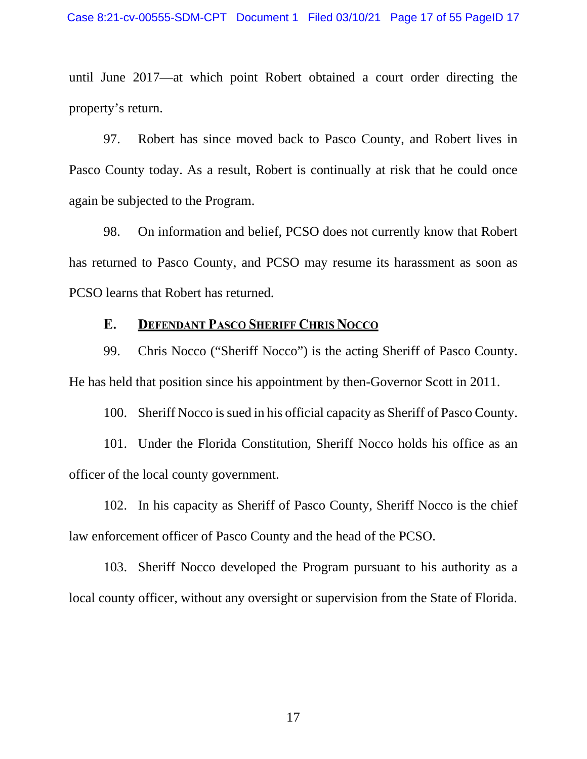until June 2017—at which point Robert obtained a court order directing the property's return.

97. Robert has since moved back to Pasco County, and Robert lives in Pasco County today. As a result, Robert is continually at risk that he could once again be subjected to the Program.

98. On information and belief, PCSO does not currently know that Robert has returned to Pasco County, and PCSO may resume its harassment as soon as PCSO learns that Robert has returned.

## **DEFENDANT PASCO SHERIFF CHRIS NOCCO** E.

99. Chris Nocco ("Sheriff Nocco") is the acting Sheriff of Pasco County. He has held that position since his appointment by then-Governor Scott in 2011.

100. Sheriff Nocco is sued in his official capacity as Sheriff of Pasco County.

101. Under the Florida Constitution, Sheriff Nocco holds his office as an officer of the local county government.

102. In his capacity as Sheriff of Pasco County, Sheriff Nocco is the chief law enforcement officer of Pasco County and the head of the PCSO.

103. Sheriff Nocco developed the Program pursuant to his authority as a local county officer, without any oversight or supervision from the State of Florida.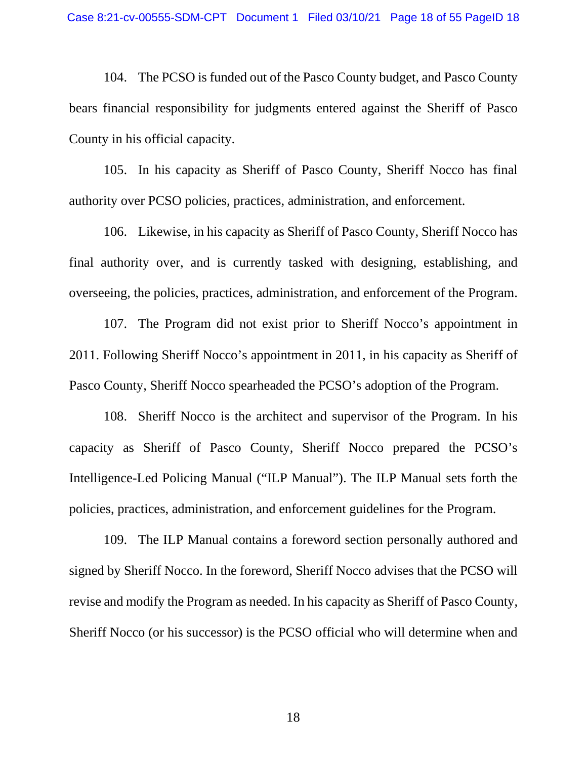104. The PCSO is funded out of the Pasco County budget, and Pasco County bears financial responsibility for judgments entered against the Sheriff of Pasco County in his official capacity.

105. In his capacity as Sheriff of Pasco County, Sheriff Nocco has final authority over PCSO policies, practices, administration, and enforcement.

106. Likewise, in his capacity as Sheriff of Pasco County, Sheriff Nocco has final authority over, and is currently tasked with designing, establishing, and overseeing, the policies, practices, administration, and enforcement of the Program.

107. The Program did not exist prior to Sheriff Nocco's appointment in 2011. Following Sheriff Nocco's appointment in 2011, in his capacity as Sheriff of Pasco County, Sheriff Nocco spearheaded the PCSO's adoption of the Program.

108. Sheriff Nocco is the architect and supervisor of the Program. In his capacity as Sheriff of Pasco County, Sheriff Nocco prepared the PCSO's Intelligence-Led Policing Manual ("ILP Manual"). The ILP Manual sets forth the policies, practices, administration, and enforcement guidelines for the Program.

109. The ILP Manual contains a foreword section personally authored and signed by Sheriff Nocco. In the foreword, Sheriff Nocco advises that the PCSO will revise and modify the Program as needed. In his capacity as Sheriff of Pasco County, Sheriff Nocco (or his successor) is the PCSO official who will determine when and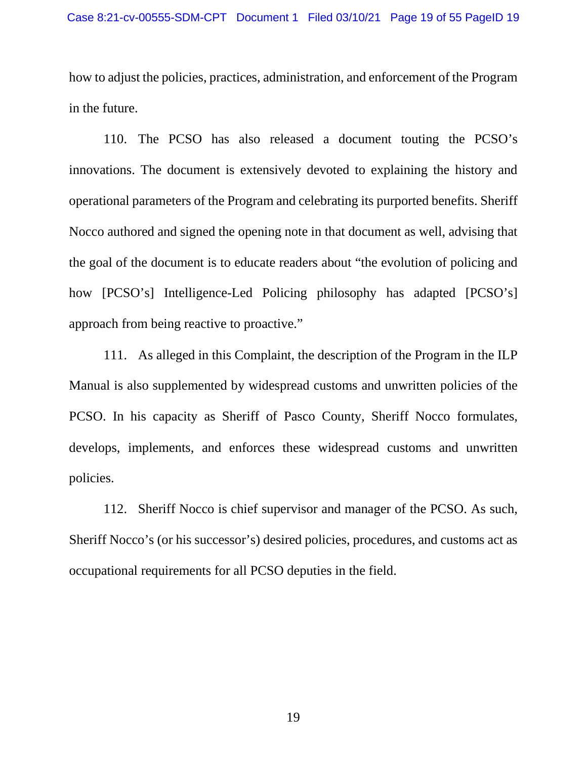how to adjust the policies, practices, administration, and enforcement of the Program in the future.

110. The PCSO has also released a document touting the PCSO's innovations. The document is extensively devoted to explaining the history and operational parameters of the Program and celebrating its purported benefits. Sheriff Nocco authored and signed the opening note in that document as well, advising that the goal of the document is to educate readers about "the evolution of policing and how [PCSO's] Intelligence-Led Policing philosophy has adapted [PCSO's] approach from being reactive to proactive."

111. As alleged in this Complaint, the description of the Program in the ILP Manual is also supplemented by widespread customs and unwritten policies of the PCSO. In his capacity as Sheriff of Pasco County, Sheriff Nocco formulates, develops, implements, and enforces these widespread customs and unwritten policies.

112. Sheriff Nocco is chief supervisor and manager of the PCSO. As such, Sheriff Nocco's (or his successor's) desired policies, procedures, and customs act as occupational requirements for all PCSO deputies in the field.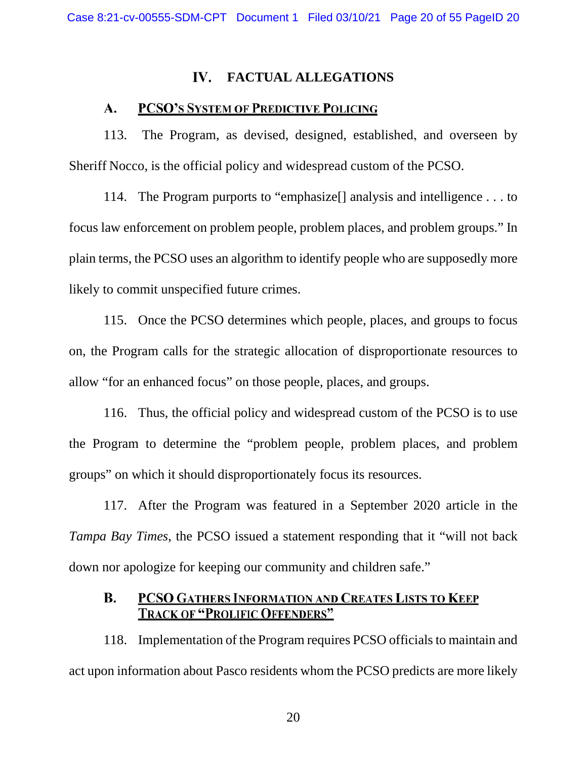## IV. **FACTUAL ALLEGATIONS**

## PCSO'S SYSTEM OF PREDICTIVE POLICING  $\mathbf{A}$ .

113. The Program, as devised, designed, established, and overseen by Sheriff Nocco, is the official policy and widespread custom of the PCSO.

114. The Program purports to "emphasize[] analysis and intelligence . . . to focus law enforcement on problem people, problem places, and problem groups." In plain terms, the PCSO uses an algorithm to identify people who are supposedly more likely to commit unspecified future crimes.

115. Once the PCSO determines which people, places, and groups to focus on, the Program calls for the strategic allocation of disproportionate resources to allow "for an enhanced focus" on those people, places, and groups.

116. Thus, the official policy and widespread custom of the PCSO is to use the Program to determine the "problem people, problem places, and problem groups" on which it should disproportionately focus its resources.

117. After the Program was featured in a September 2020 article in the *Tampa Bay Times*, the PCSO issued a statement responding that it "will not back down nor apologize for keeping our community and children safe."

## **B.** PCSO GATHERS INFORMATION AND CREATES LISTS TO KEEP **TRACK OF "PROLIFIC OFFENDERS"**

118. Implementation of the Program requires PCSO officials to maintain and act upon information about Pasco residents whom the PCSO predicts are more likely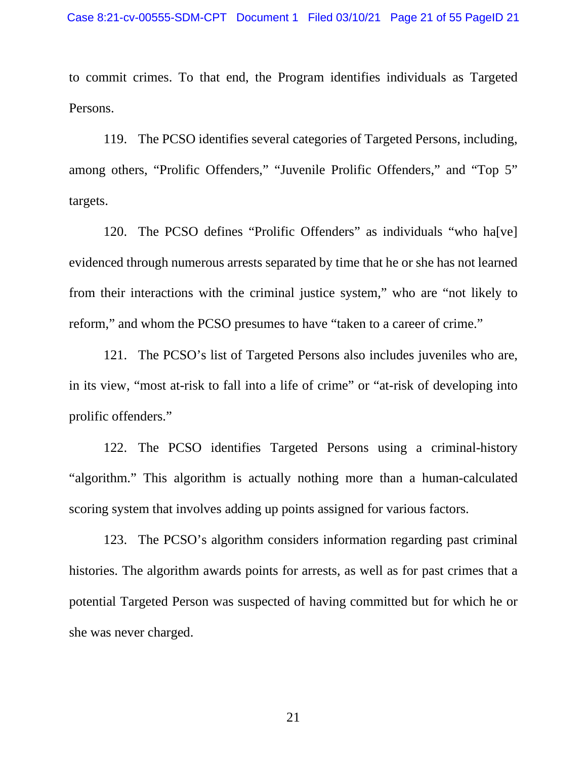to commit crimes. To that end, the Program identifies individuals as Targeted Persons.

119. The PCSO identifies several categories of Targeted Persons, including, among others, "Prolific Offenders," "Juvenile Prolific Offenders," and "Top 5" targets.

120. The PCSO defines "Prolific Offenders" as individuals "who ha[ve] evidenced through numerous arrests separated by time that he or she has not learned from their interactions with the criminal justice system," who are "not likely to reform," and whom the PCSO presumes to have "taken to a career of crime."

121. The PCSO's list of Targeted Persons also includes juveniles who are, in its view, "most at-risk to fall into a life of crime" or "at-risk of developing into prolific offenders."

122. The PCSO identifies Targeted Persons using a criminal-history "algorithm." This algorithm is actually nothing more than a human-calculated scoring system that involves adding up points assigned for various factors.

123. The PCSO's algorithm considers information regarding past criminal histories. The algorithm awards points for arrests, as well as for past crimes that a potential Targeted Person was suspected of having committed but for which he or she was never charged.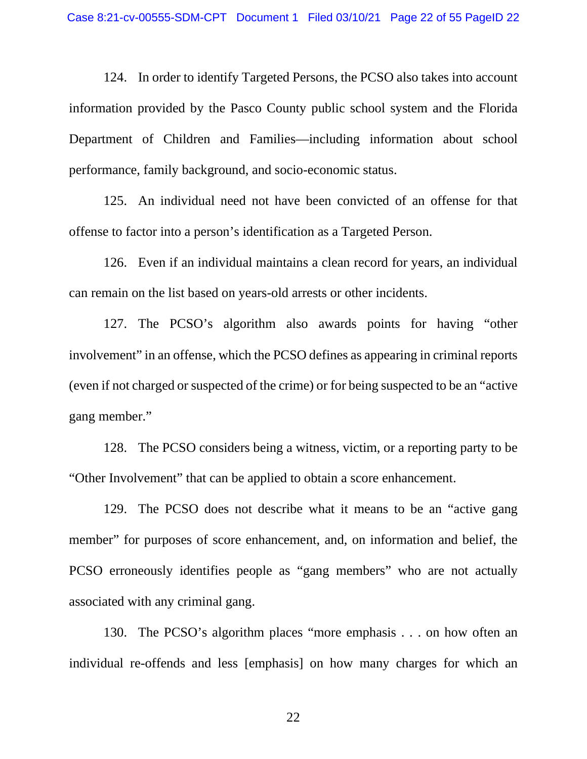124. In order to identify Targeted Persons, the PCSO also takes into account information provided by the Pasco County public school system and the Florida Department of Children and Families—including information about school performance, family background, and socio-economic status.

125. An individual need not have been convicted of an offense for that offense to factor into a person's identification as a Targeted Person.

126. Even if an individual maintains a clean record for years, an individual can remain on the list based on years-old arrests or other incidents.

127. The PCSO's algorithm also awards points for having "other involvement" in an offense, which the PCSO defines as appearing in criminal reports (even if not charged or suspected of the crime) or for being suspected to be an "active gang member."

128. The PCSO considers being a witness, victim, or a reporting party to be "Other Involvement" that can be applied to obtain a score enhancement.

129. The PCSO does not describe what it means to be an "active gang member" for purposes of score enhancement, and, on information and belief, the PCSO erroneously identifies people as "gang members" who are not actually associated with any criminal gang.

130. The PCSO's algorithm places "more emphasis . . . on how often an individual re-offends and less [emphasis] on how many charges for which an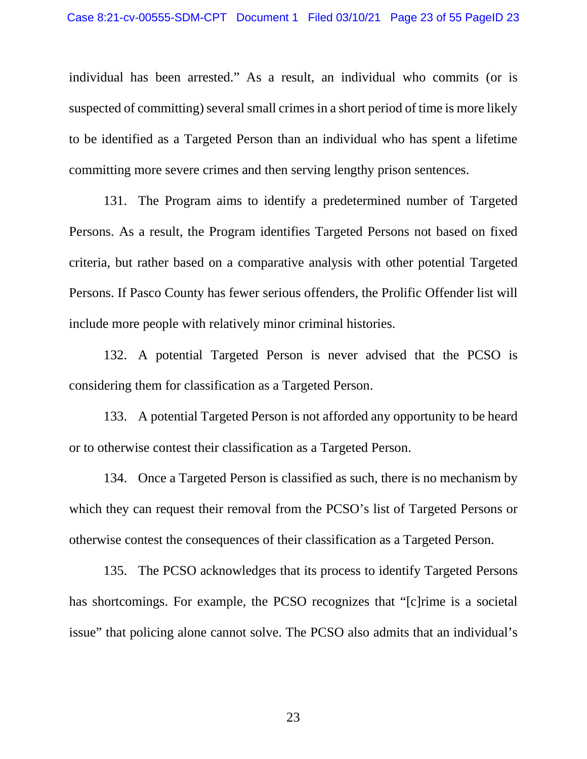individual has been arrested." As a result, an individual who commits (or is suspected of committing) several small crimes in a short period of time is more likely to be identified as a Targeted Person than an individual who has spent a lifetime committing more severe crimes and then serving lengthy prison sentences.

131. The Program aims to identify a predetermined number of Targeted Persons. As a result, the Program identifies Targeted Persons not based on fixed criteria, but rather based on a comparative analysis with other potential Targeted Persons. If Pasco County has fewer serious offenders, the Prolific Offender list will include more people with relatively minor criminal histories.

132. A potential Targeted Person is never advised that the PCSO is considering them for classification as a Targeted Person.

133. A potential Targeted Person is not afforded any opportunity to be heard or to otherwise contest their classification as a Targeted Person.

134. Once a Targeted Person is classified as such, there is no mechanism by which they can request their removal from the PCSO's list of Targeted Persons or otherwise contest the consequences of their classification as a Targeted Person.

135. The PCSO acknowledges that its process to identify Targeted Persons has shortcomings. For example, the PCSO recognizes that "[c]rime is a societal issue" that policing alone cannot solve. The PCSO also admits that an individual's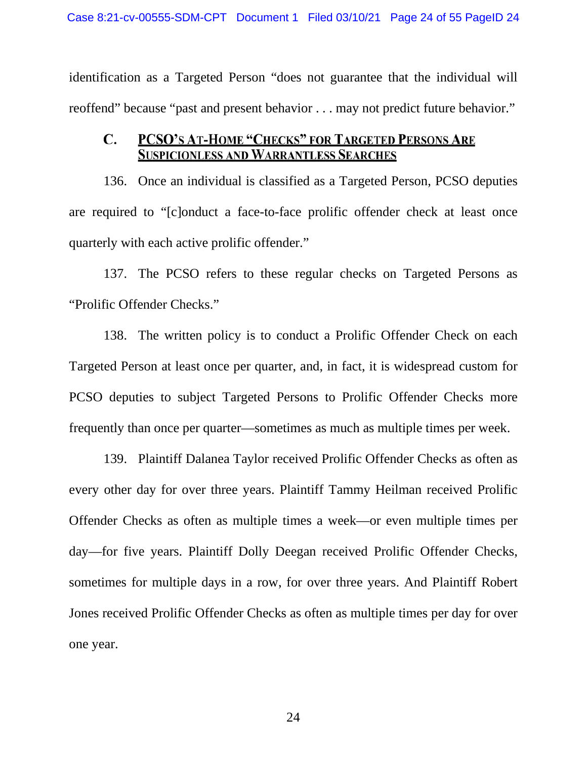identification as a Targeted Person "does not guarantee that the individual will reoffend" because "past and present behavior . . . may not predict future behavior."

## PCSO'S AT-HOME "CHECKS" FOR TARGETED PERSONS ARE  $\mathbf{C}$ . **SUSPICIONLESS AND WARRANTLESS SEARCHES**

136. Once an individual is classified as a Targeted Person, PCSO deputies are required to "[c]onduct a face-to-face prolific offender check at least once quarterly with each active prolific offender."

137. The PCSO refers to these regular checks on Targeted Persons as "Prolific Offender Checks."

138. The written policy is to conduct a Prolific Offender Check on each Targeted Person at least once per quarter, and, in fact, it is widespread custom for PCSO deputies to subject Targeted Persons to Prolific Offender Checks more frequently than once per quarter—sometimes as much as multiple times per week.

139. Plaintiff Dalanea Taylor received Prolific Offender Checks as often as every other day for over three years. Plaintiff Tammy Heilman received Prolific Offender Checks as often as multiple times a week—or even multiple times per day—for five years. Plaintiff Dolly Deegan received Prolific Offender Checks, sometimes for multiple days in a row, for over three years. And Plaintiff Robert Jones received Prolific Offender Checks as often as multiple times per day for over one year.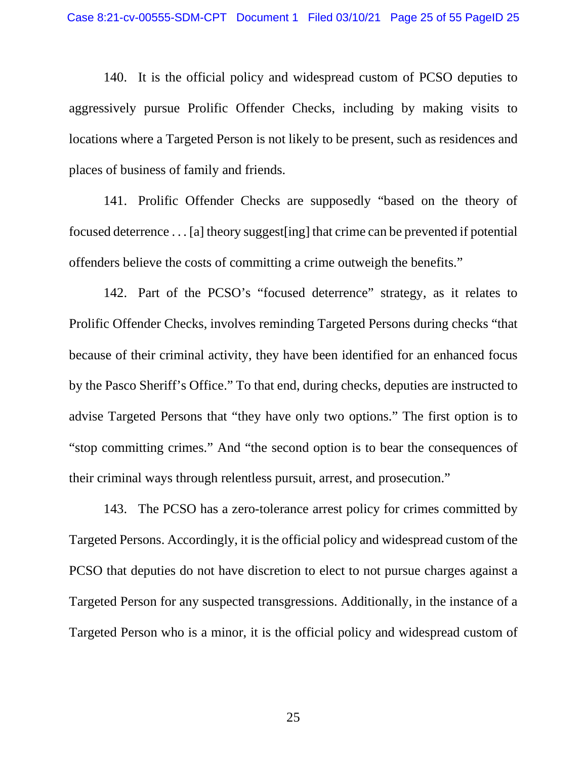140. It is the official policy and widespread custom of PCSO deputies to aggressively pursue Prolific Offender Checks, including by making visits to locations where a Targeted Person is not likely to be present, such as residences and places of business of family and friends.

141. Prolific Offender Checks are supposedly "based on the theory of focused deterrence . . . [a] theory suggest[ing] that crime can be prevented if potential offenders believe the costs of committing a crime outweigh the benefits."

142. Part of the PCSO's "focused deterrence" strategy, as it relates to Prolific Offender Checks, involves reminding Targeted Persons during checks "that because of their criminal activity, they have been identified for an enhanced focus by the Pasco Sheriff's Office." To that end, during checks, deputies are instructed to advise Targeted Persons that "they have only two options." The first option is to "stop committing crimes." And "the second option is to bear the consequences of their criminal ways through relentless pursuit, arrest, and prosecution."

143. The PCSO has a zero-tolerance arrest policy for crimes committed by Targeted Persons. Accordingly, it is the official policy and widespread custom of the PCSO that deputies do not have discretion to elect to not pursue charges against a Targeted Person for any suspected transgressions. Additionally, in the instance of a Targeted Person who is a minor, it is the official policy and widespread custom of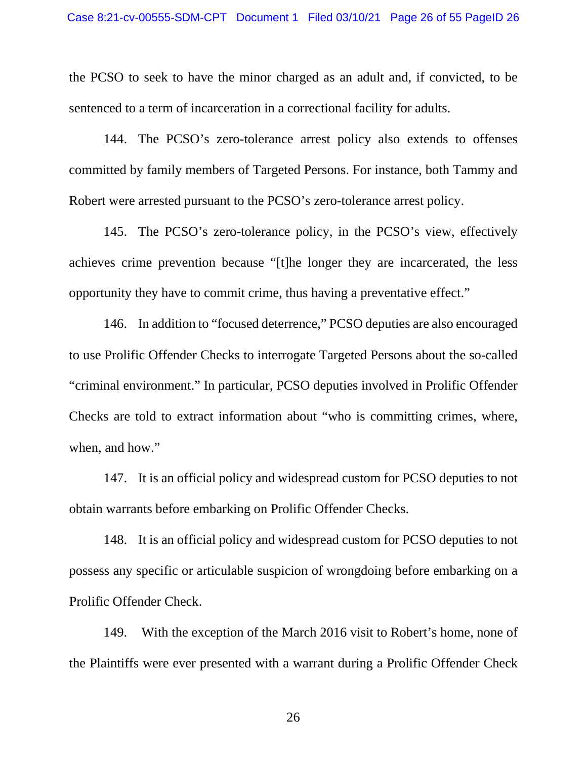the PCSO to seek to have the minor charged as an adult and, if convicted, to be sentenced to a term of incarceration in a correctional facility for adults.

144. The PCSO's zero-tolerance arrest policy also extends to offenses committed by family members of Targeted Persons. For instance, both Tammy and Robert were arrested pursuant to the PCSO's zero-tolerance arrest policy.

145. The PCSO's zero-tolerance policy, in the PCSO's view, effectively achieves crime prevention because "[t]he longer they are incarcerated, the less opportunity they have to commit crime, thus having a preventative effect."

146. In addition to "focused deterrence," PCSO deputies are also encouraged to use Prolific Offender Checks to interrogate Targeted Persons about the so-called "criminal environment." In particular, PCSO deputies involved in Prolific Offender Checks are told to extract information about "who is committing crimes, where, when, and how."

147. It is an official policy and widespread custom for PCSO deputies to not obtain warrants before embarking on Prolific Offender Checks.

148. It is an official policy and widespread custom for PCSO deputies to not possess any specific or articulable suspicion of wrongdoing before embarking on a Prolific Offender Check.

149. With the exception of the March 2016 visit to Robert's home, none of the Plaintiffs were ever presented with a warrant during a Prolific Offender Check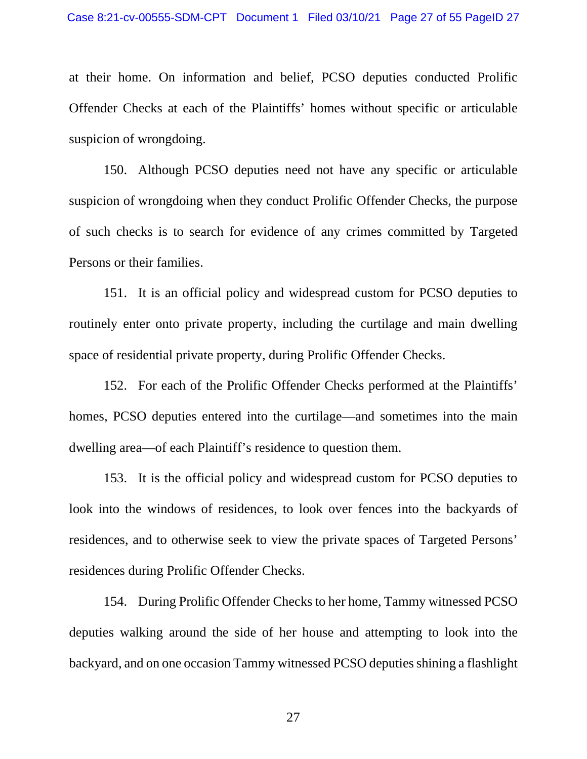at their home. On information and belief, PCSO deputies conducted Prolific Offender Checks at each of the Plaintiffs' homes without specific or articulable suspicion of wrongdoing.

150. Although PCSO deputies need not have any specific or articulable suspicion of wrongdoing when they conduct Prolific Offender Checks, the purpose of such checks is to search for evidence of any crimes committed by Targeted Persons or their families.

151. It is an official policy and widespread custom for PCSO deputies to routinely enter onto private property, including the curtilage and main dwelling space of residential private property, during Prolific Offender Checks.

152. For each of the Prolific Offender Checks performed at the Plaintiffs' homes, PCSO deputies entered into the curtilage—and sometimes into the main dwelling area—of each Plaintiff's residence to question them.

153. It is the official policy and widespread custom for PCSO deputies to look into the windows of residences, to look over fences into the backyards of residences, and to otherwise seek to view the private spaces of Targeted Persons' residences during Prolific Offender Checks.

154. During Prolific Offender Checks to her home, Tammy witnessed PCSO deputies walking around the side of her house and attempting to look into the backyard, and on one occasion Tammy witnessed PCSO deputies shining a flashlight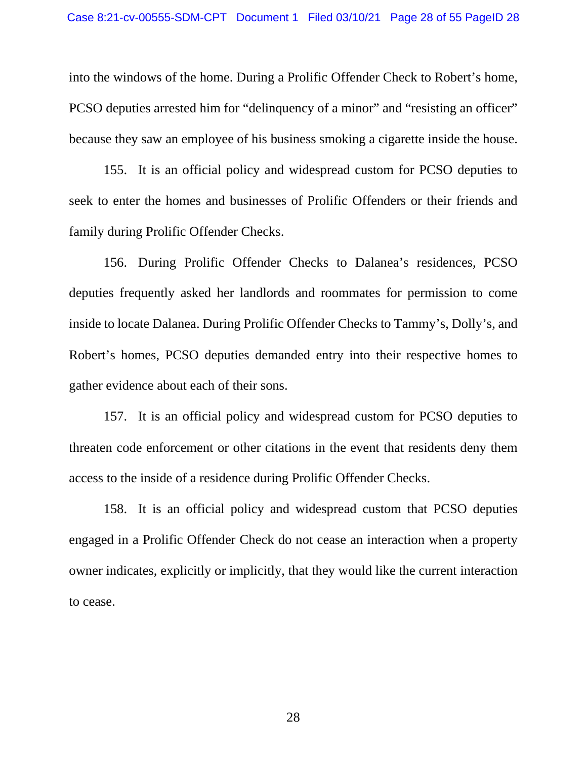into the windows of the home. During a Prolific Offender Check to Robert's home, PCSO deputies arrested him for "delinquency of a minor" and "resisting an officer" because they saw an employee of his business smoking a cigarette inside the house.

155. It is an official policy and widespread custom for PCSO deputies to seek to enter the homes and businesses of Prolific Offenders or their friends and family during Prolific Offender Checks.

156. During Prolific Offender Checks to Dalanea's residences, PCSO deputies frequently asked her landlords and roommates for permission to come inside to locate Dalanea. During Prolific Offender Checks to Tammy's, Dolly's, and Robert's homes, PCSO deputies demanded entry into their respective homes to gather evidence about each of their sons.

157. It is an official policy and widespread custom for PCSO deputies to threaten code enforcement or other citations in the event that residents deny them access to the inside of a residence during Prolific Offender Checks.

158. It is an official policy and widespread custom that PCSO deputies engaged in a Prolific Offender Check do not cease an interaction when a property owner indicates, explicitly or implicitly, that they would like the current interaction to cease.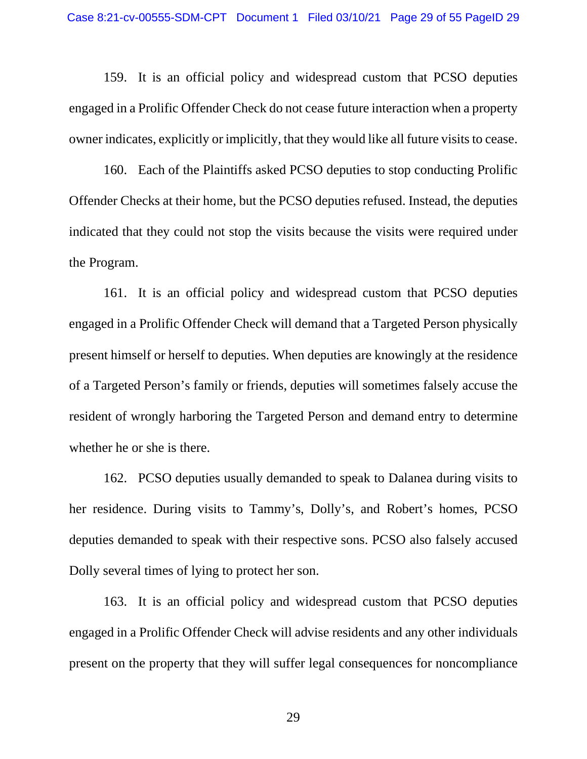159. It is an official policy and widespread custom that PCSO deputies engaged in a Prolific Offender Check do not cease future interaction when a property owner indicates, explicitly or implicitly, that they would like all future visits to cease.

160. Each of the Plaintiffs asked PCSO deputies to stop conducting Prolific Offender Checks at their home, but the PCSO deputies refused. Instead, the deputies indicated that they could not stop the visits because the visits were required under the Program.

161. It is an official policy and widespread custom that PCSO deputies engaged in a Prolific Offender Check will demand that a Targeted Person physically present himself or herself to deputies. When deputies are knowingly at the residence of a Targeted Person's family or friends, deputies will sometimes falsely accuse the resident of wrongly harboring the Targeted Person and demand entry to determine whether he or she is there.

162. PCSO deputies usually demanded to speak to Dalanea during visits to her residence. During visits to Tammy's, Dolly's, and Robert's homes, PCSO deputies demanded to speak with their respective sons. PCSO also falsely accused Dolly several times of lying to protect her son.

163. It is an official policy and widespread custom that PCSO deputies engaged in a Prolific Offender Check will advise residents and any other individuals present on the property that they will suffer legal consequences for noncompliance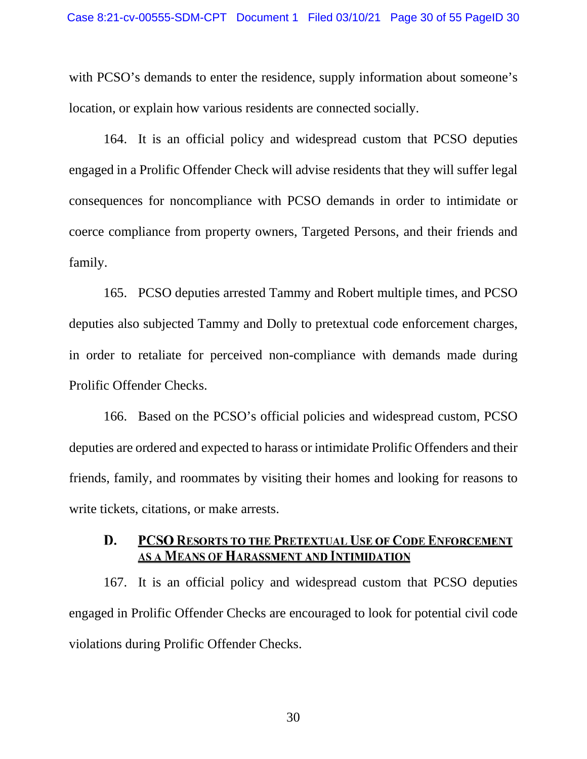with PCSO's demands to enter the residence, supply information about someone's location, or explain how various residents are connected socially.

164. It is an official policy and widespread custom that PCSO deputies engaged in a Prolific Offender Check will advise residents that they will suffer legal consequences for noncompliance with PCSO demands in order to intimidate or coerce compliance from property owners, Targeted Persons, and their friends and family.

165. PCSO deputies arrested Tammy and Robert multiple times, and PCSO deputies also subjected Tammy and Dolly to pretextual code enforcement charges, in order to retaliate for perceived non-compliance with demands made during Prolific Offender Checks.

166. Based on the PCSO's official policies and widespread custom, PCSO deputies are ordered and expected to harass or intimidate Prolific Offenders and their friends, family, and roommates by visiting their homes and looking for reasons to write tickets, citations, or make arrests.

## D. **PCSO RESORTS TO THE PRETEXTUAL USE OF CODE ENFORCEMENT** AS A MEANS OF HARASSMENT AND INTIMIDATION

167. It is an official policy and widespread custom that PCSO deputies engaged in Prolific Offender Checks are encouraged to look for potential civil code violations during Prolific Offender Checks.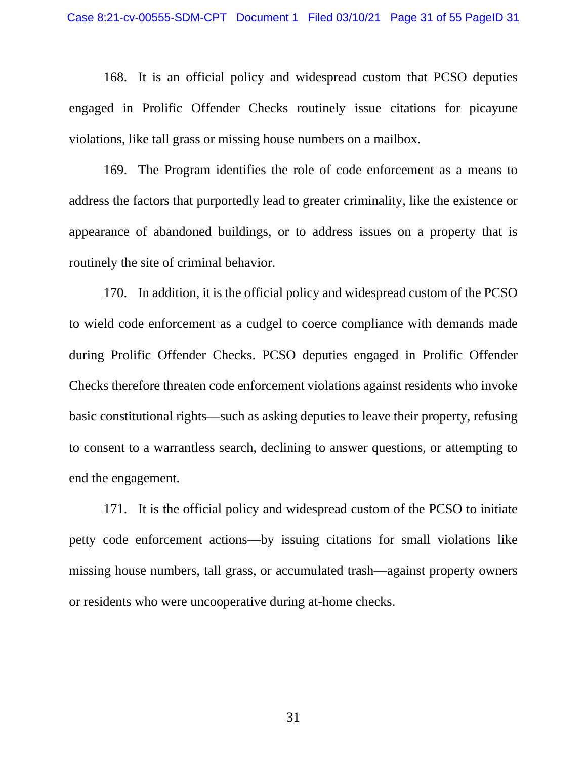168. It is an official policy and widespread custom that PCSO deputies engaged in Prolific Offender Checks routinely issue citations for picayune violations, like tall grass or missing house numbers on a mailbox.

169. The Program identifies the role of code enforcement as a means to address the factors that purportedly lead to greater criminality, like the existence or appearance of abandoned buildings, or to address issues on a property that is routinely the site of criminal behavior.

170. In addition, it is the official policy and widespread custom of the PCSO to wield code enforcement as a cudgel to coerce compliance with demands made during Prolific Offender Checks. PCSO deputies engaged in Prolific Offender Checks therefore threaten code enforcement violations against residents who invoke basic constitutional rights—such as asking deputies to leave their property, refusing to consent to a warrantless search, declining to answer questions, or attempting to end the engagement.

171. It is the official policy and widespread custom of the PCSO to initiate petty code enforcement actions—by issuing citations for small violations like missing house numbers, tall grass, or accumulated trash—against property owners or residents who were uncooperative during at-home checks.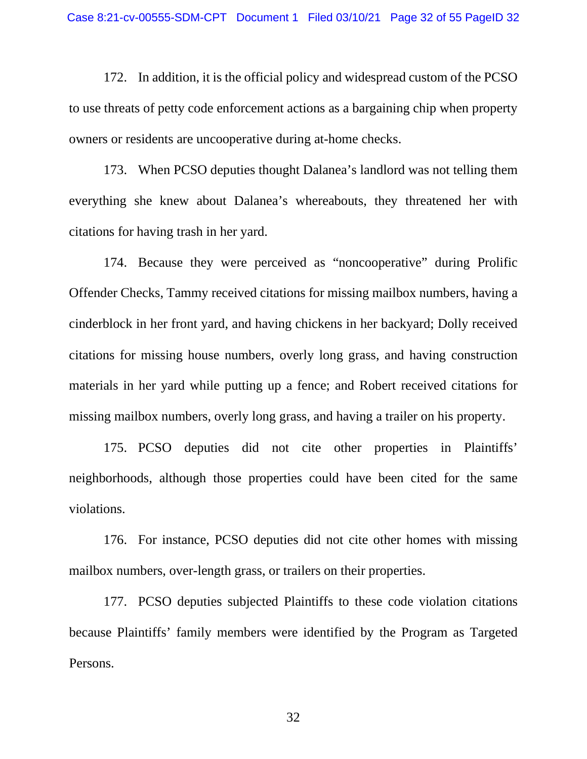172. In addition, it is the official policy and widespread custom of the PCSO to use threats of petty code enforcement actions as a bargaining chip when property owners or residents are uncooperative during at-home checks.

173. When PCSO deputies thought Dalanea's landlord was not telling them everything she knew about Dalanea's whereabouts, they threatened her with citations for having trash in her yard.

174. Because they were perceived as "noncooperative" during Prolific Offender Checks, Tammy received citations for missing mailbox numbers, having a cinderblock in her front yard, and having chickens in her backyard; Dolly received citations for missing house numbers, overly long grass, and having construction materials in her yard while putting up a fence; and Robert received citations for missing mailbox numbers, overly long grass, and having a trailer on his property.

175. PCSO deputies did not cite other properties in Plaintiffs' neighborhoods, although those properties could have been cited for the same violations.

176. For instance, PCSO deputies did not cite other homes with missing mailbox numbers, over-length grass, or trailers on their properties.

177. PCSO deputies subjected Plaintiffs to these code violation citations because Plaintiffs' family members were identified by the Program as Targeted Persons.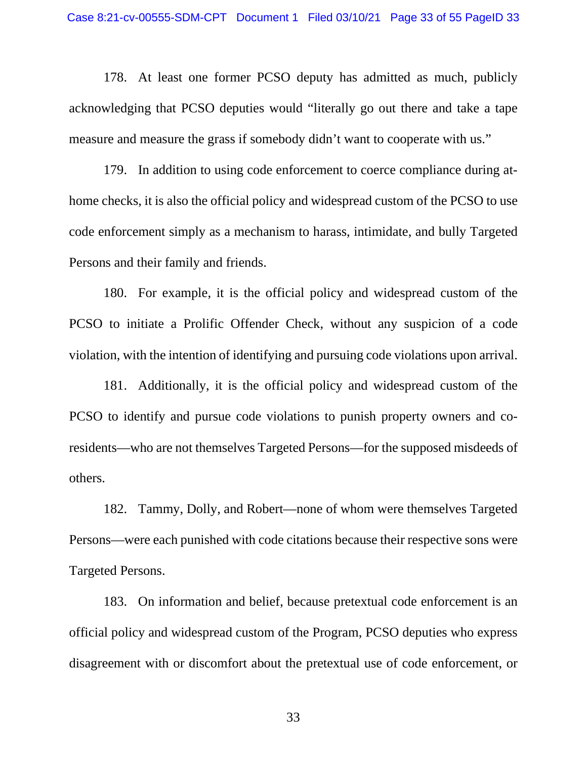178. At least one former PCSO deputy has admitted as much, publicly acknowledging that PCSO deputies would "literally go out there and take a tape measure and measure the grass if somebody didn't want to cooperate with us."

179. In addition to using code enforcement to coerce compliance during athome checks, it is also the official policy and widespread custom of the PCSO to use code enforcement simply as a mechanism to harass, intimidate, and bully Targeted Persons and their family and friends.

180. For example, it is the official policy and widespread custom of the PCSO to initiate a Prolific Offender Check, without any suspicion of a code violation, with the intention of identifying and pursuing code violations upon arrival.

181. Additionally, it is the official policy and widespread custom of the PCSO to identify and pursue code violations to punish property owners and coresidents—who are not themselves Targeted Persons—for the supposed misdeeds of others.

182. Tammy, Dolly, and Robert—none of whom were themselves Targeted Persons—were each punished with code citations because their respective sons were Targeted Persons.

183. On information and belief, because pretextual code enforcement is an official policy and widespread custom of the Program, PCSO deputies who express disagreement with or discomfort about the pretextual use of code enforcement, or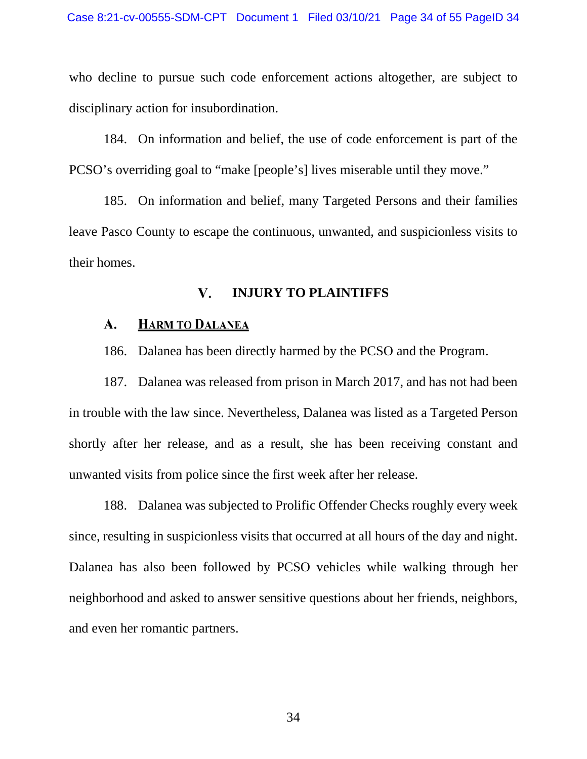who decline to pursue such code enforcement actions altogether, are subject to disciplinary action for insubordination.

184. On information and belief, the use of code enforcement is part of the PCSO's overriding goal to "make [people's] lives miserable until they move."

185. On information and belief, many Targeted Persons and their families leave Pasco County to escape the continuous, unwanted, and suspicionless visits to their homes.

### V. **INJURY TO PLAINTIFFS**

#### A. **HARM TO DALANEA**

186. Dalanea has been directly harmed by the PCSO and the Program.

187. Dalanea was released from prison in March 2017, and has not had been in trouble with the law since. Nevertheless, Dalanea was listed as a Targeted Person shortly after her release, and as a result, she has been receiving constant and unwanted visits from police since the first week after her release.

188. Dalanea was subjected to Prolific Offender Checks roughly every week since, resulting in suspicionless visits that occurred at all hours of the day and night. Dalanea has also been followed by PCSO vehicles while walking through her neighborhood and asked to answer sensitive questions about her friends, neighbors, and even her romantic partners.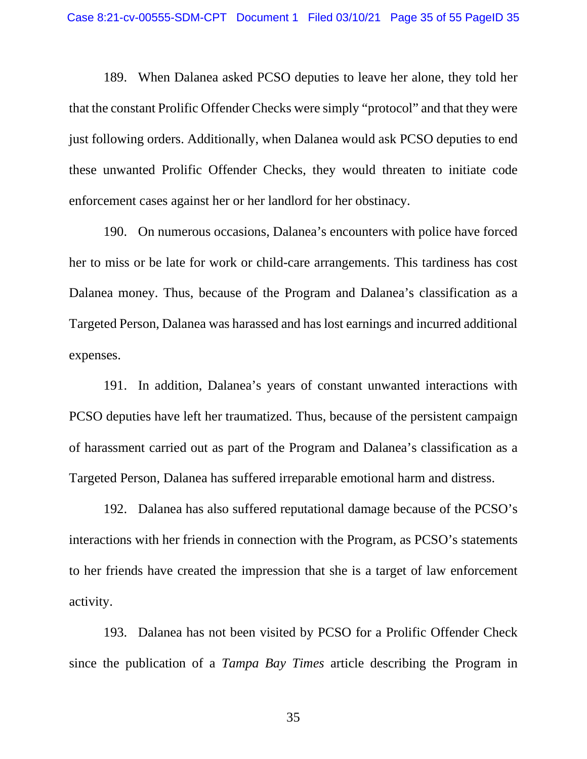189. When Dalanea asked PCSO deputies to leave her alone, they told her that the constant Prolific Offender Checks were simply "protocol" and that they were just following orders. Additionally, when Dalanea would ask PCSO deputies to end these unwanted Prolific Offender Checks, they would threaten to initiate code enforcement cases against her or her landlord for her obstinacy.

190. On numerous occasions, Dalanea's encounters with police have forced her to miss or be late for work or child-care arrangements. This tardiness has cost Dalanea money. Thus, because of the Program and Dalanea's classification as a Targeted Person, Dalanea was harassed and has lost earnings and incurred additional expenses.

191. In addition, Dalanea's years of constant unwanted interactions with PCSO deputies have left her traumatized. Thus, because of the persistent campaign of harassment carried out as part of the Program and Dalanea's classification as a Targeted Person, Dalanea has suffered irreparable emotional harm and distress.

192. Dalanea has also suffered reputational damage because of the PCSO's interactions with her friends in connection with the Program, as PCSO's statements to her friends have created the impression that she is a target of law enforcement activity.

193. Dalanea has not been visited by PCSO for a Prolific Offender Check since the publication of a *Tampa Bay Times* article describing the Program in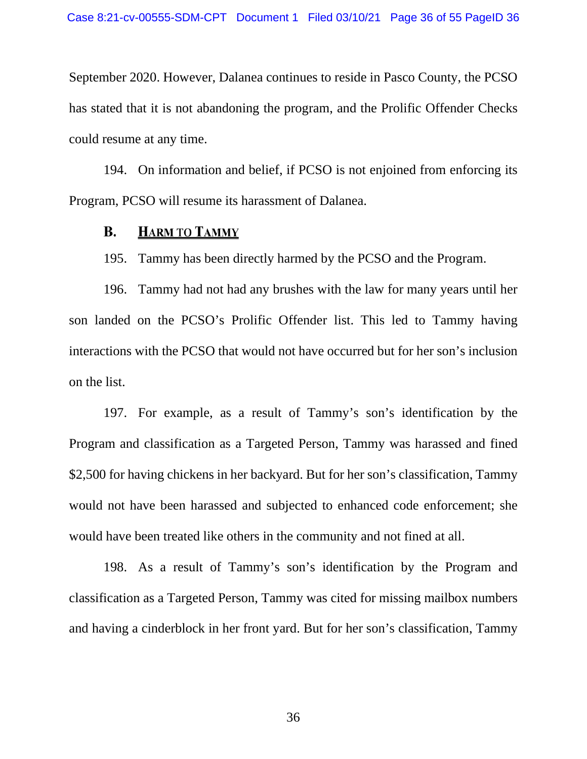September 2020. However, Dalanea continues to reside in Pasco County, the PCSO has stated that it is not abandoning the program, and the Prolific Offender Checks could resume at any time.

194. On information and belief, if PCSO is not enjoined from enforcing its Program, PCSO will resume its harassment of Dalanea.

### **B. HARM TO TAMMY**

195. Tammy has been directly harmed by the PCSO and the Program.

196. Tammy had not had any brushes with the law for many years until her son landed on the PCSO's Prolific Offender list. This led to Tammy having interactions with the PCSO that would not have occurred but for her son's inclusion on the list.

197. For example, as a result of Tammy's son's identification by the Program and classification as a Targeted Person, Tammy was harassed and fined \$2,500 for having chickens in her backyard. But for her son's classification, Tammy would not have been harassed and subjected to enhanced code enforcement; she would have been treated like others in the community and not fined at all.

198. As a result of Tammy's son's identification by the Program and classification as a Targeted Person, Tammy was cited for missing mailbox numbers and having a cinderblock in her front yard. But for her son's classification, Tammy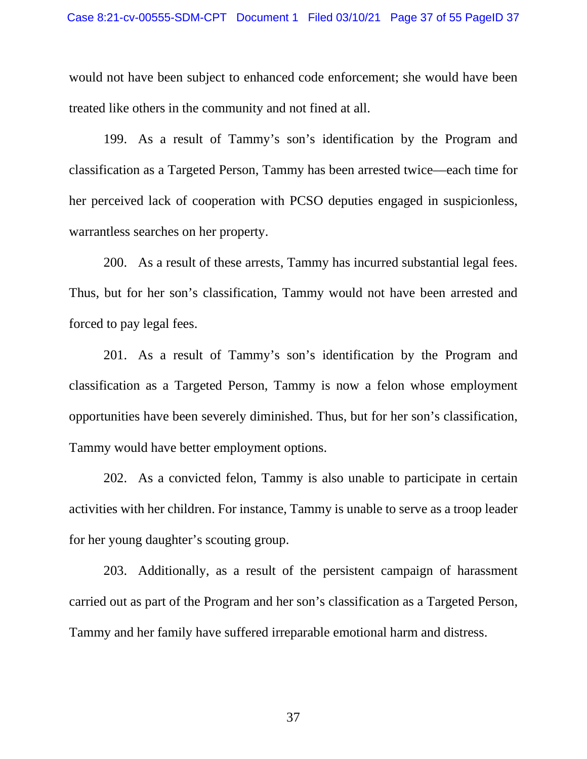would not have been subject to enhanced code enforcement; she would have been treated like others in the community and not fined at all.

199. As a result of Tammy's son's identification by the Program and classification as a Targeted Person, Tammy has been arrested twice—each time for her perceived lack of cooperation with PCSO deputies engaged in suspicionless, warrantless searches on her property.

200. As a result of these arrests, Tammy has incurred substantial legal fees. Thus, but for her son's classification, Tammy would not have been arrested and forced to pay legal fees.

201. As a result of Tammy's son's identification by the Program and classification as a Targeted Person, Tammy is now a felon whose employment opportunities have been severely diminished. Thus, but for her son's classification, Tammy would have better employment options.

202. As a convicted felon, Tammy is also unable to participate in certain activities with her children. For instance, Tammy is unable to serve as a troop leader for her young daughter's scouting group.

203. Additionally, as a result of the persistent campaign of harassment carried out as part of the Program and her son's classification as a Targeted Person, Tammy and her family have suffered irreparable emotional harm and distress.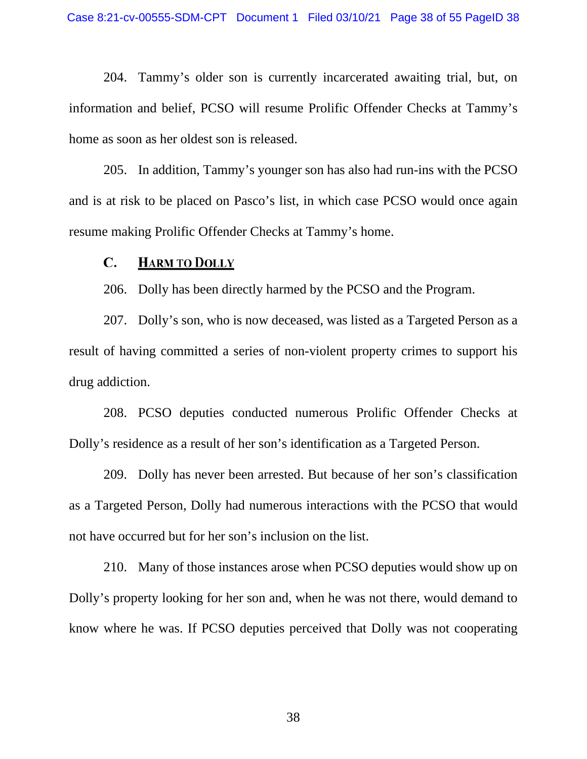204. Tammy's older son is currently incarcerated awaiting trial, but, on information and belief, PCSO will resume Prolific Offender Checks at Tammy's home as soon as her oldest son is released.

205. In addition, Tammy's younger son has also had run-ins with the PCSO and is at risk to be placed on Pasco's list, in which case PCSO would once again resume making Prolific Offender Checks at Tammy's home.

#### $\mathbf{C}$ . **HARM TO DOLLY**

206. Dolly has been directly harmed by the PCSO and the Program.

207. Dolly's son, who is now deceased, was listed as a Targeted Person as a result of having committed a series of non-violent property crimes to support his drug addiction.

208. PCSO deputies conducted numerous Prolific Offender Checks at Dolly's residence as a result of her son's identification as a Targeted Person.

209. Dolly has never been arrested. But because of her son's classification as a Targeted Person, Dolly had numerous interactions with the PCSO that would not have occurred but for her son's inclusion on the list.

210. Many of those instances arose when PCSO deputies would show up on Dolly's property looking for her son and, when he was not there, would demand to know where he was. If PCSO deputies perceived that Dolly was not cooperating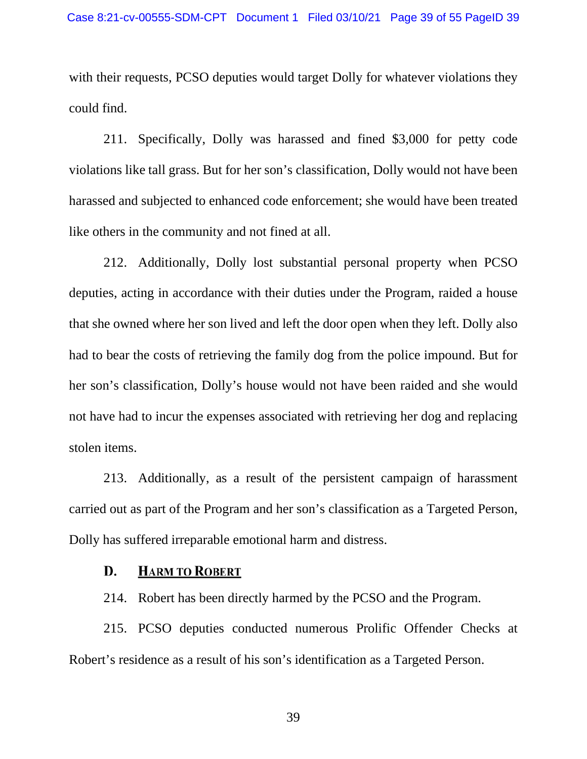with their requests, PCSO deputies would target Dolly for whatever violations they could find.

211. Specifically, Dolly was harassed and fined \$3,000 for petty code violations like tall grass. But for her son's classification, Dolly would not have been harassed and subjected to enhanced code enforcement; she would have been treated like others in the community and not fined at all.

212. Additionally, Dolly lost substantial personal property when PCSO deputies, acting in accordance with their duties under the Program, raided a house that she owned where her son lived and left the door open when they left. Dolly also had to bear the costs of retrieving the family dog from the police impound. But for her son's classification, Dolly's house would not have been raided and she would not have had to incur the expenses associated with retrieving her dog and replacing stolen items.

213. Additionally, as a result of the persistent campaign of harassment carried out as part of the Program and her son's classification as a Targeted Person, Dolly has suffered irreparable emotional harm and distress.

## **HARM TO ROBERT** D.

214. Robert has been directly harmed by the PCSO and the Program.

215. PCSO deputies conducted numerous Prolific Offender Checks at Robert's residence as a result of his son's identification as a Targeted Person.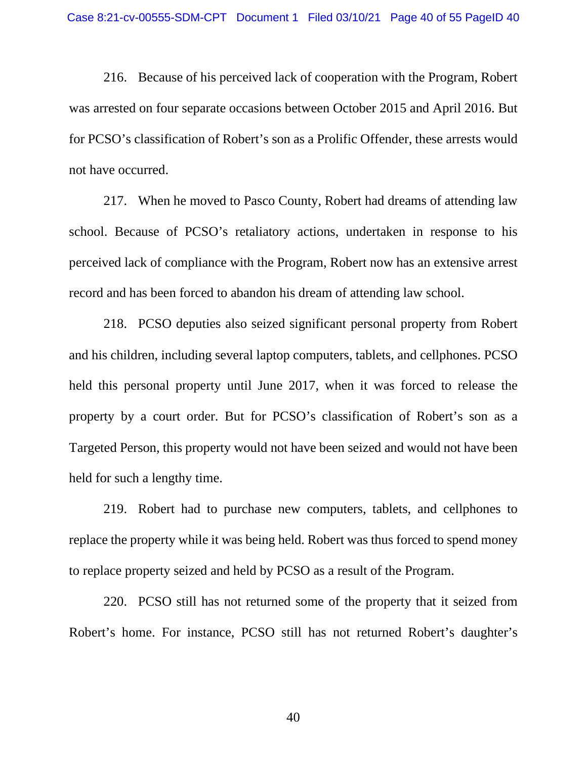216. Because of his perceived lack of cooperation with the Program, Robert was arrested on four separate occasions between October 2015 and April 2016. But for PCSO's classification of Robert's son as a Prolific Offender, these arrests would not have occurred.

217. When he moved to Pasco County, Robert had dreams of attending law school. Because of PCSO's retaliatory actions, undertaken in response to his perceived lack of compliance with the Program, Robert now has an extensive arrest record and has been forced to abandon his dream of attending law school.

218. PCSO deputies also seized significant personal property from Robert and his children, including several laptop computers, tablets, and cellphones. PCSO held this personal property until June 2017, when it was forced to release the property by a court order. But for PCSO's classification of Robert's son as a Targeted Person, this property would not have been seized and would not have been held for such a lengthy time.

219. Robert had to purchase new computers, tablets, and cellphones to replace the property while it was being held. Robert was thus forced to spend money to replace property seized and held by PCSO as a result of the Program.

220. PCSO still has not returned some of the property that it seized from Robert's home. For instance, PCSO still has not returned Robert's daughter's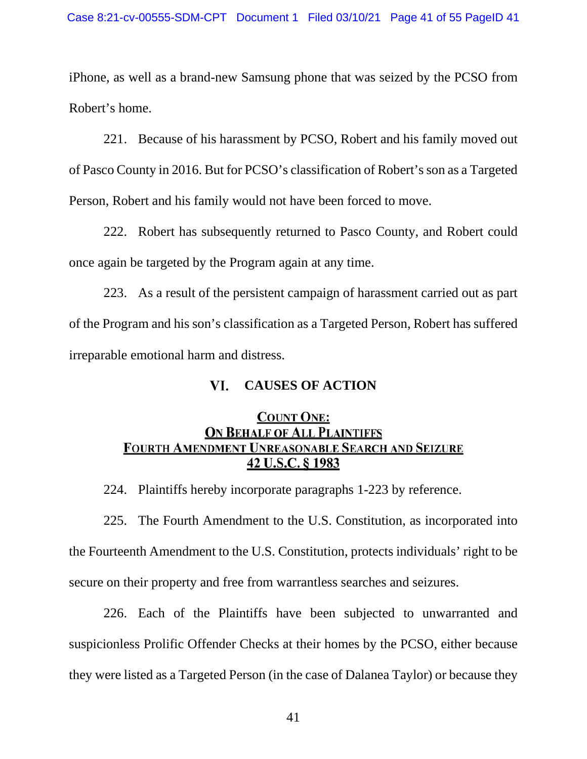iPhone, as well as a brand-new Samsung phone that was seized by the PCSO from Robert's home.

221. Because of his harassment by PCSO, Robert and his family moved out of Pasco County in 2016. But for PCSO's classification of Robert's son as a Targeted Person, Robert and his family would not have been forced to move.

222. Robert has subsequently returned to Pasco County, and Robert could once again be targeted by the Program again at any time.

223. As a result of the persistent campaign of harassment carried out as part of the Program and his son's classification as a Targeted Person, Robert has suffered irreparable emotional harm and distress.

## VI. **CAUSES OF ACTION**

## **COUNT ONE: ON BEHALF OF ALL PLAINTIFFS** FOURTH AMENDMENT UNREASONABLE SEARCH AND SEIZURE 42 U.S.C. § 1983

224. Plaintiffs hereby incorporate paragraphs 1-223 by reference.

225. The Fourth Amendment to the U.S. Constitution, as incorporated into the Fourteenth Amendment to the U.S. Constitution, protects individuals' right to be secure on their property and free from warrantless searches and seizures.

226. Each of the Plaintiffs have been subjected to unwarranted and suspicionless Prolific Offender Checks at their homes by the PCSO, either because they were listed as a Targeted Person (in the case of Dalanea Taylor) or because they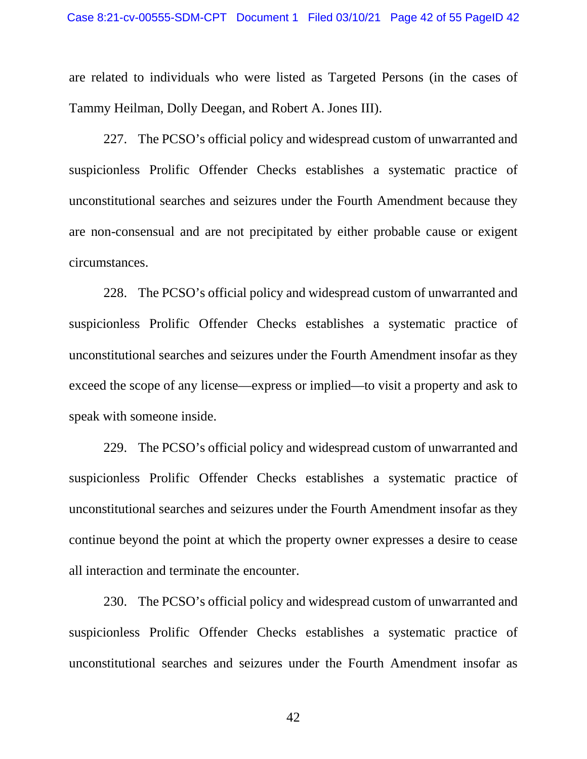are related to individuals who were listed as Targeted Persons (in the cases of Tammy Heilman, Dolly Deegan, and Robert A. Jones III).

227. The PCSO's official policy and widespread custom of unwarranted and suspicionless Prolific Offender Checks establishes a systematic practice of unconstitutional searches and seizures under the Fourth Amendment because they are non-consensual and are not precipitated by either probable cause or exigent circumstances.

228. The PCSO's official policy and widespread custom of unwarranted and suspicionless Prolific Offender Checks establishes a systematic practice of unconstitutional searches and seizures under the Fourth Amendment insofar as they exceed the scope of any license—express or implied—to visit a property and ask to speak with someone inside.

229. The PCSO's official policy and widespread custom of unwarranted and suspicionless Prolific Offender Checks establishes a systematic practice of unconstitutional searches and seizures under the Fourth Amendment insofar as they continue beyond the point at which the property owner expresses a desire to cease all interaction and terminate the encounter.

230. The PCSO's official policy and widespread custom of unwarranted and suspicionless Prolific Offender Checks establishes a systematic practice of unconstitutional searches and seizures under the Fourth Amendment insofar as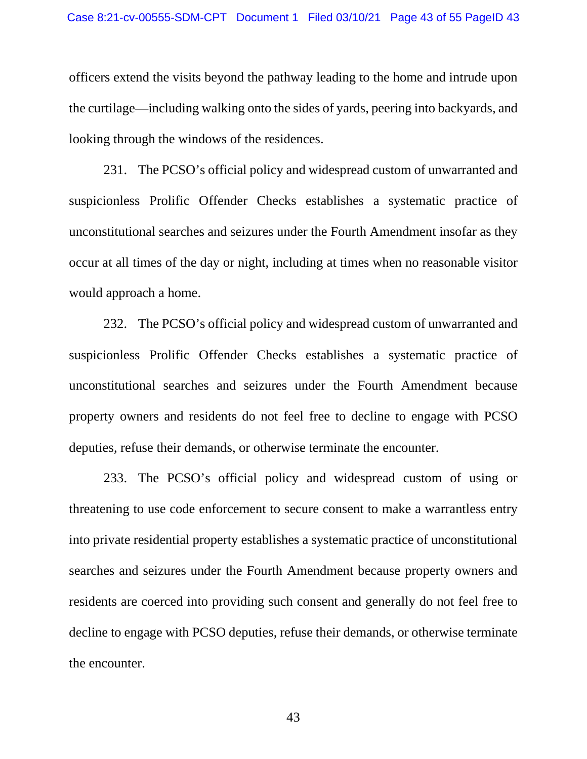officers extend the visits beyond the pathway leading to the home and intrude upon the curtilage—including walking onto the sides of yards, peering into backyards, and looking through the windows of the residences.

231. The PCSO's official policy and widespread custom of unwarranted and suspicionless Prolific Offender Checks establishes a systematic practice of unconstitutional searches and seizures under the Fourth Amendment insofar as they occur at all times of the day or night, including at times when no reasonable visitor would approach a home.

232. The PCSO's official policy and widespread custom of unwarranted and suspicionless Prolific Offender Checks establishes a systematic practice of unconstitutional searches and seizures under the Fourth Amendment because property owners and residents do not feel free to decline to engage with PCSO deputies, refuse their demands, or otherwise terminate the encounter.

233. The PCSO's official policy and widespread custom of using or threatening to use code enforcement to secure consent to make a warrantless entry into private residential property establishes a systematic practice of unconstitutional searches and seizures under the Fourth Amendment because property owners and residents are coerced into providing such consent and generally do not feel free to decline to engage with PCSO deputies, refuse their demands, or otherwise terminate the encounter.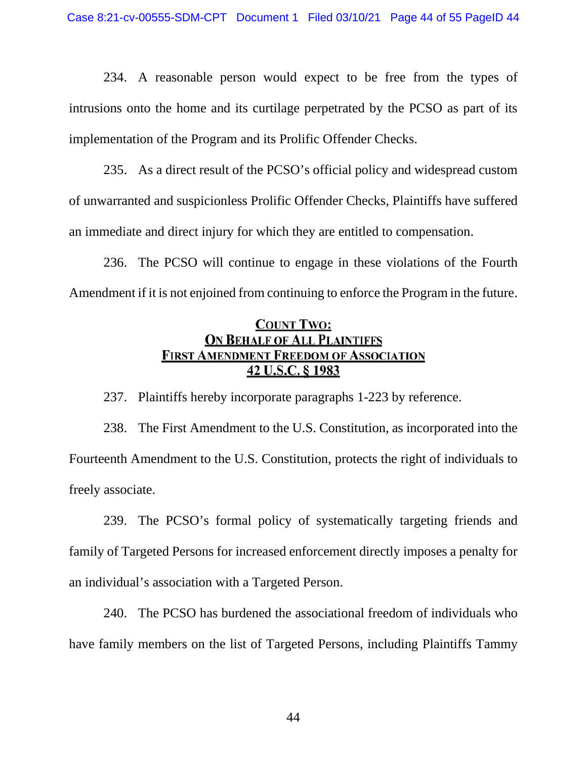234. A reasonable person would expect to be free from the types of intrusions onto the home and its curtilage perpetrated by the PCSO as part of its implementation of the Program and its Prolific Offender Checks.

235. As a direct result of the PCSO's official policy and widespread custom of unwarranted and suspicionless Prolific Offender Checks, Plaintiffs have suffered an immediate and direct injury for which they are entitled to compensation.

236. The PCSO will continue to engage in these violations of the Fourth Amendment if it is not enjoined from continuing to enforce the Program in the future.

# **COUNT TWO: ON BEHALF OF ALL PLAINTIFFS FIRST AMENDMENT FREEDOM OF ASSOCIATION** 42 U.S.C. § 1983

237. Plaintiffs hereby incorporate paragraphs 1-223 by reference.

238. The First Amendment to the U.S. Constitution, as incorporated into the Fourteenth Amendment to the U.S. Constitution, protects the right of individuals to freely associate.

239. The PCSO's formal policy of systematically targeting friends and family of Targeted Persons for increased enforcement directly imposes a penalty for an individual's association with a Targeted Person.

240. The PCSO has burdened the associational freedom of individuals who have family members on the list of Targeted Persons, including Plaintiffs Tammy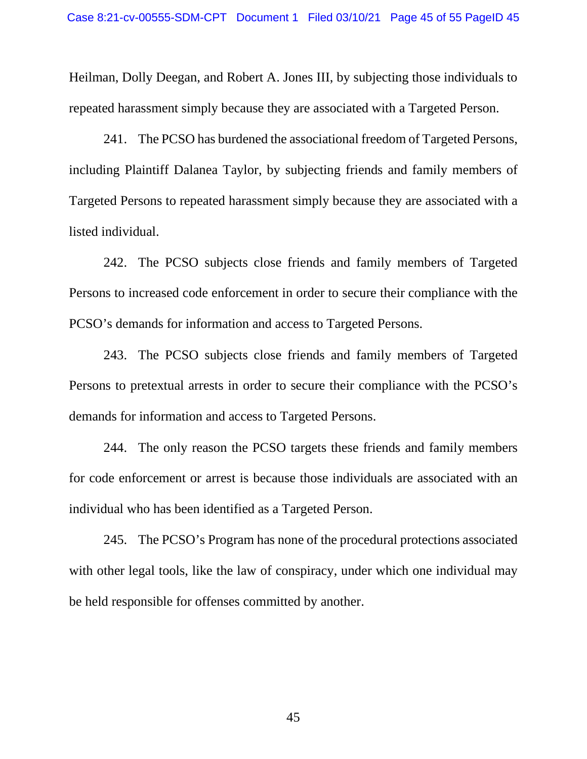Heilman, Dolly Deegan, and Robert A. Jones III, by subjecting those individuals to repeated harassment simply because they are associated with a Targeted Person.

241. The PCSO has burdened the associational freedom of Targeted Persons, including Plaintiff Dalanea Taylor, by subjecting friends and family members of Targeted Persons to repeated harassment simply because they are associated with a listed individual.

242. The PCSO subjects close friends and family members of Targeted Persons to increased code enforcement in order to secure their compliance with the PCSO's demands for information and access to Targeted Persons.

243. The PCSO subjects close friends and family members of Targeted Persons to pretextual arrests in order to secure their compliance with the PCSO's demands for information and access to Targeted Persons.

244. The only reason the PCSO targets these friends and family members for code enforcement or arrest is because those individuals are associated with an individual who has been identified as a Targeted Person.

245. The PCSO's Program has none of the procedural protections associated with other legal tools, like the law of conspiracy, under which one individual may be held responsible for offenses committed by another.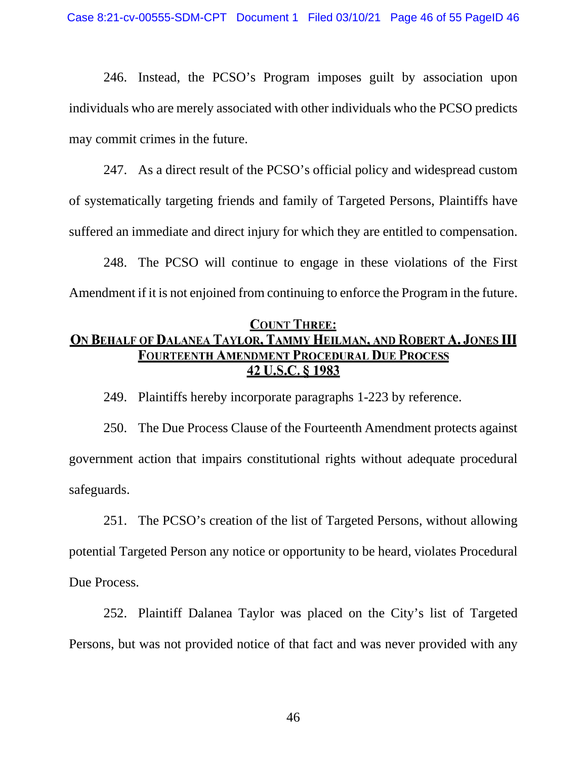246. Instead, the PCSO's Program imposes guilt by association upon individuals who are merely associated with other individuals who the PCSO predicts may commit crimes in the future.

247. As a direct result of the PCSO's official policy and widespread custom of systematically targeting friends and family of Targeted Persons, Plaintiffs have suffered an immediate and direct injury for which they are entitled to compensation.

248. The PCSO will continue to engage in these violations of the First Amendment if it is not enjoined from continuing to enforce the Program in the future.

## **COUNT THREE:**

# ON BEHALF OF DALANEA TAYLOR, TAMMY HEILMAN, AND ROBERT A. JONES III **FOURTEENTH AMENDMENT PROCEDURAL DUE PROCESS** 42 U.S.C. § 1983

249. Plaintiffs hereby incorporate paragraphs 1-223 by reference.

250. The Due Process Clause of the Fourteenth Amendment protects against government action that impairs constitutional rights without adequate procedural safeguards.

251. The PCSO's creation of the list of Targeted Persons, without allowing potential Targeted Person any notice or opportunity to be heard, violates Procedural Due Process.

252. Plaintiff Dalanea Taylor was placed on the City's list of Targeted Persons, but was not provided notice of that fact and was never provided with any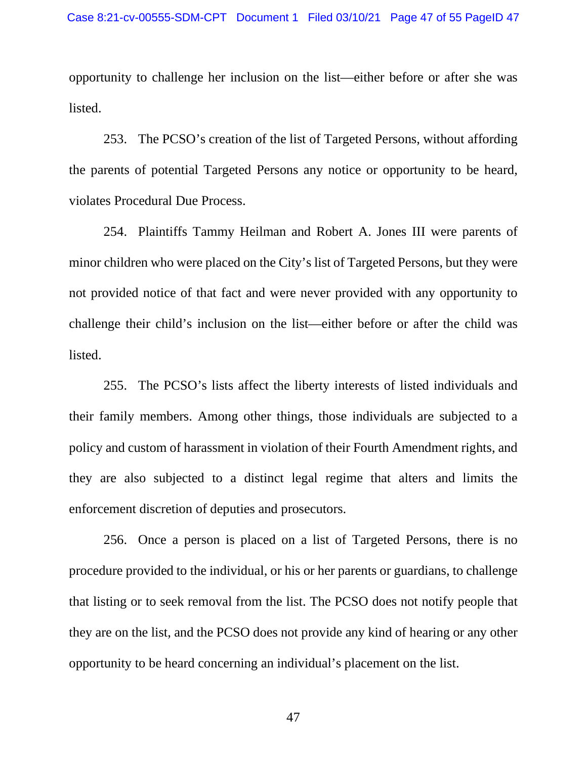opportunity to challenge her inclusion on the list—either before or after she was listed.

253. The PCSO's creation of the list of Targeted Persons, without affording the parents of potential Targeted Persons any notice or opportunity to be heard, violates Procedural Due Process.

254. Plaintiffs Tammy Heilman and Robert A. Jones III were parents of minor children who were placed on the City's list of Targeted Persons, but they were not provided notice of that fact and were never provided with any opportunity to challenge their child's inclusion on the list—either before or after the child was listed.

255. The PCSO's lists affect the liberty interests of listed individuals and their family members. Among other things, those individuals are subjected to a policy and custom of harassment in violation of their Fourth Amendment rights, and they are also subjected to a distinct legal regime that alters and limits the enforcement discretion of deputies and prosecutors.

256. Once a person is placed on a list of Targeted Persons, there is no procedure provided to the individual, or his or her parents or guardians, to challenge that listing or to seek removal from the list. The PCSO does not notify people that they are on the list, and the PCSO does not provide any kind of hearing or any other opportunity to be heard concerning an individual's placement on the list.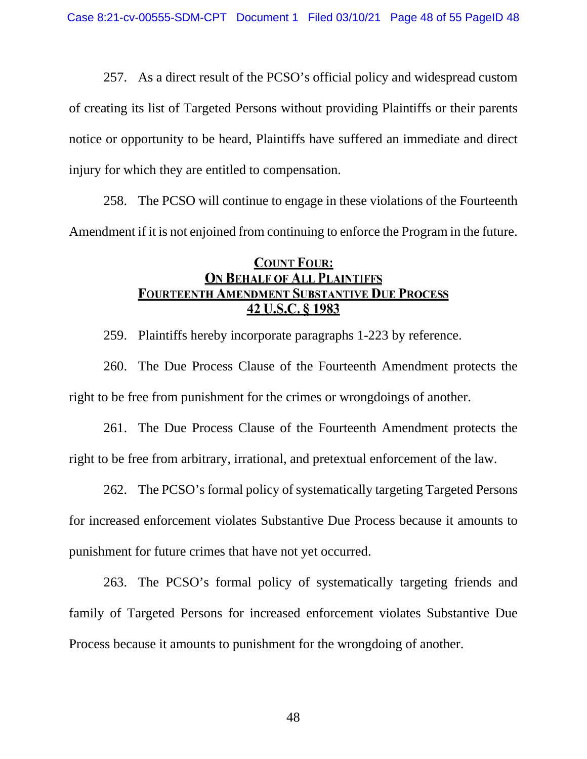257. As a direct result of the PCSO's official policy and widespread custom of creating its list of Targeted Persons without providing Plaintiffs or their parents notice or opportunity to be heard, Plaintiffs have suffered an immediate and direct injury for which they are entitled to compensation.

258. The PCSO will continue to engage in these violations of the Fourteenth Amendment if it is not enjoined from continuing to enforce the Program in the future.

## **COUNT FOUR: ON BEHALF OF ALL PLAINTIFFS FOURTEENTH AMENDMENT SUBSTANTIVE DUE PROCESS** 42 U.S.C. § 1983

259. Plaintiffs hereby incorporate paragraphs 1-223 by reference.

260. The Due Process Clause of the Fourteenth Amendment protects the right to be free from punishment for the crimes or wrongdoings of another.

261. The Due Process Clause of the Fourteenth Amendment protects the right to be free from arbitrary, irrational, and pretextual enforcement of the law.

262. The PCSO's formal policy of systematically targeting Targeted Persons for increased enforcement violates Substantive Due Process because it amounts to punishment for future crimes that have not yet occurred.

263. The PCSO's formal policy of systematically targeting friends and family of Targeted Persons for increased enforcement violates Substantive Due Process because it amounts to punishment for the wrongdoing of another.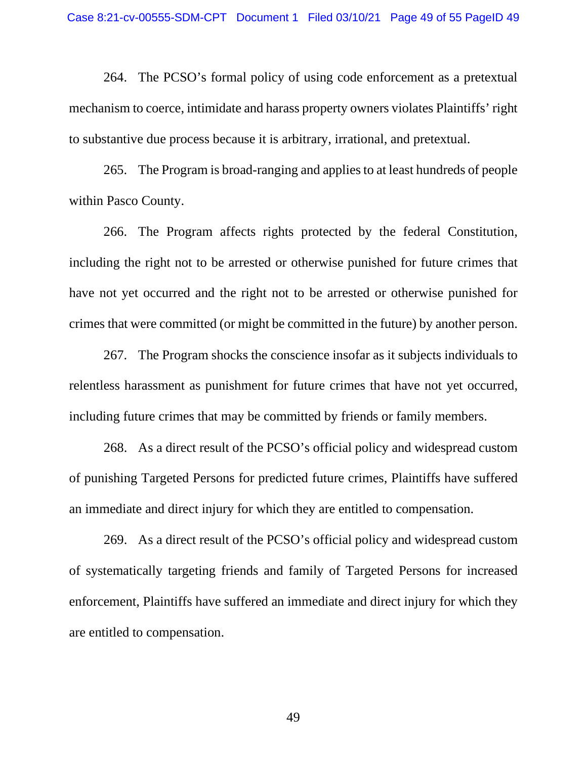264. The PCSO's formal policy of using code enforcement as a pretextual mechanism to coerce, intimidate and harass property owners violates Plaintiffs' right to substantive due process because it is arbitrary, irrational, and pretextual.

265. The Program is broad-ranging and appliesto at least hundreds of people within Pasco County.

266. The Program affects rights protected by the federal Constitution, including the right not to be arrested or otherwise punished for future crimes that have not yet occurred and the right not to be arrested or otherwise punished for crimes that were committed (or might be committed in the future) by another person.

267. The Program shocks the conscience insofar as it subjects individuals to relentless harassment as punishment for future crimes that have not yet occurred, including future crimes that may be committed by friends or family members.

268. As a direct result of the PCSO's official policy and widespread custom of punishing Targeted Persons for predicted future crimes, Plaintiffs have suffered an immediate and direct injury for which they are entitled to compensation.

269. As a direct result of the PCSO's official policy and widespread custom of systematically targeting friends and family of Targeted Persons for increased enforcement, Plaintiffs have suffered an immediate and direct injury for which they are entitled to compensation.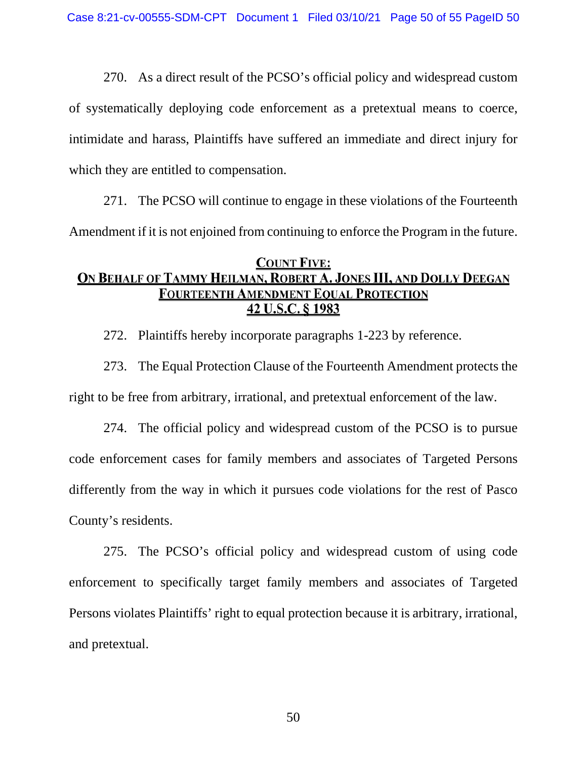270. As a direct result of the PCSO's official policy and widespread custom of systematically deploying code enforcement as a pretextual means to coerce, intimidate and harass, Plaintiffs have suffered an immediate and direct injury for which they are entitled to compensation.

271. The PCSO will continue to engage in these violations of the Fourteenth Amendment if it is not enjoined from continuing to enforce the Program in the future.

# **COUNT FIVE:** ON BEHALF OF TAMMY HEILMAN, ROBERT A. JONES III, AND DOLLY DEEGAN **FOURTEENTH AMENDMENT EQUAL PROTECTION** 42 U.S.C. § 1983

272. Plaintiffs hereby incorporate paragraphs 1-223 by reference.

273. The Equal Protection Clause of the Fourteenth Amendment protects the right to be free from arbitrary, irrational, and pretextual enforcement of the law.

274. The official policy and widespread custom of the PCSO is to pursue code enforcement cases for family members and associates of Targeted Persons differently from the way in which it pursues code violations for the rest of Pasco County's residents.

275. The PCSO's official policy and widespread custom of using code enforcement to specifically target family members and associates of Targeted Persons violates Plaintiffs' right to equal protection because it is arbitrary, irrational, and pretextual.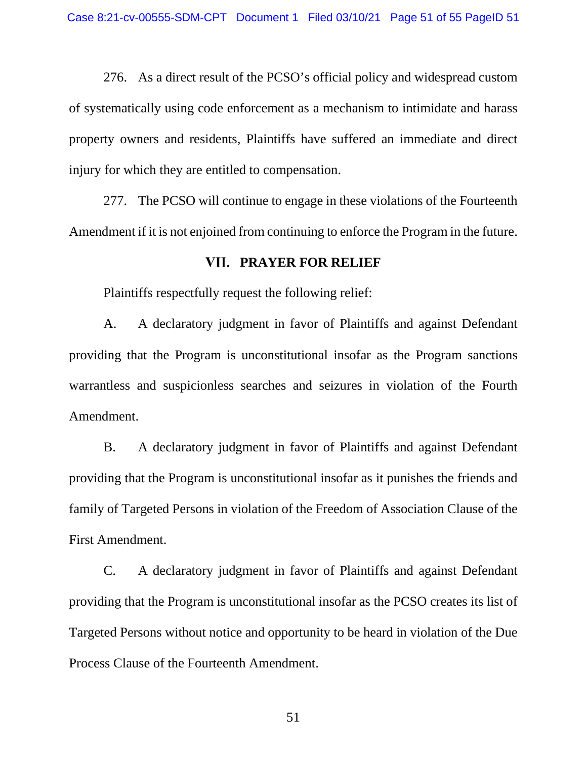276. As a direct result of the PCSO's official policy and widespread custom of systematically using code enforcement as a mechanism to intimidate and harass property owners and residents, Plaintiffs have suffered an immediate and direct injury for which they are entitled to compensation.

277. The PCSO will continue to engage in these violations of the Fourteenth Amendment if it is not enjoined from continuing to enforce the Program in the future.

## **PRAYER FOR RELIEF**

Plaintiffs respectfully request the following relief:

A. A declaratory judgment in favor of Plaintiffs and against Defendant providing that the Program is unconstitutional insofar as the Program sanctions warrantless and suspicionless searches and seizures in violation of the Fourth Amendment.

B. A declaratory judgment in favor of Plaintiffs and against Defendant providing that the Program is unconstitutional insofar as it punishes the friends and family of Targeted Persons in violation of the Freedom of Association Clause of the First Amendment.

C. A declaratory judgment in favor of Plaintiffs and against Defendant providing that the Program is unconstitutional insofar as the PCSO creates its list of Targeted Persons without notice and opportunity to be heard in violation of the Due Process Clause of the Fourteenth Amendment.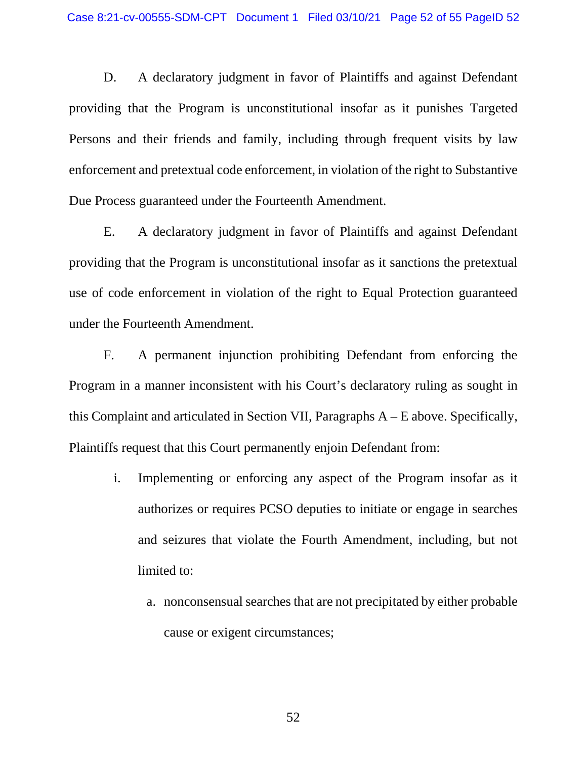D. A declaratory judgment in favor of Plaintiffs and against Defendant providing that the Program is unconstitutional insofar as it punishes Targeted Persons and their friends and family, including through frequent visits by law enforcement and pretextual code enforcement, in violation of the right to Substantive Due Process guaranteed under the Fourteenth Amendment.

E. A declaratory judgment in favor of Plaintiffs and against Defendant providing that the Program is unconstitutional insofar as it sanctions the pretextual use of code enforcement in violation of the right to Equal Protection guaranteed under the Fourteenth Amendment.

F. A permanent injunction prohibiting Defendant from enforcing the Program in a manner inconsistent with his Court's declaratory ruling as sought in this Complaint and articulated in Section VII, Paragraphs A – E above. Specifically, Plaintiffs request that this Court permanently enjoin Defendant from:

- i. Implementing or enforcing any aspect of the Program insofar as it authorizes or requires PCSO deputies to initiate or engage in searches and seizures that violate the Fourth Amendment, including, but not limited to:
	- a. nonconsensual searches that are not precipitated by either probable cause or exigent circumstances;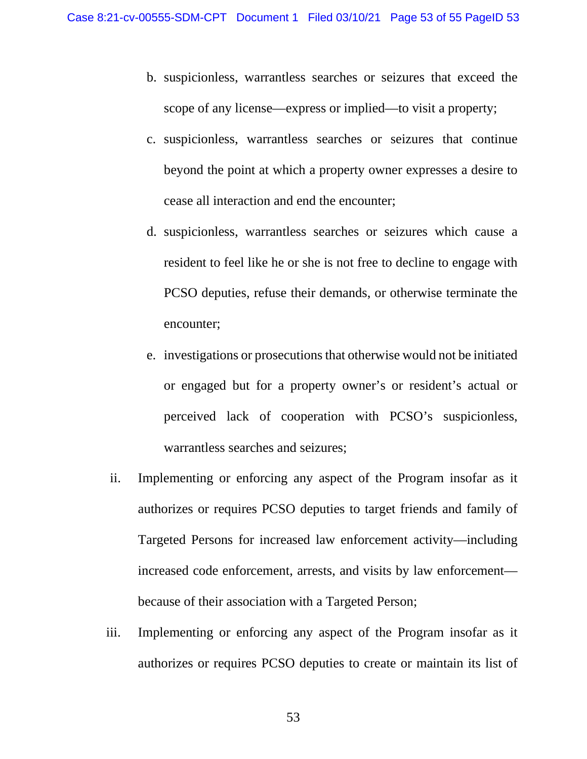- b. suspicionless, warrantless searches or seizures that exceed the scope of any license—express or implied—to visit a property;
- c. suspicionless, warrantless searches or seizures that continue beyond the point at which a property owner expresses a desire to cease all interaction and end the encounter;
- d. suspicionless, warrantless searches or seizures which cause a resident to feel like he or she is not free to decline to engage with PCSO deputies, refuse their demands, or otherwise terminate the encounter;
- e. investigations or prosecutions that otherwise would not be initiated or engaged but for a property owner's or resident's actual or perceived lack of cooperation with PCSO's suspicionless, warrantless searches and seizures;
- ii. Implementing or enforcing any aspect of the Program insofar as it authorizes or requires PCSO deputies to target friends and family of Targeted Persons for increased law enforcement activity—including increased code enforcement, arrests, and visits by law enforcement because of their association with a Targeted Person;
- iii. Implementing or enforcing any aspect of the Program insofar as it authorizes or requires PCSO deputies to create or maintain its list of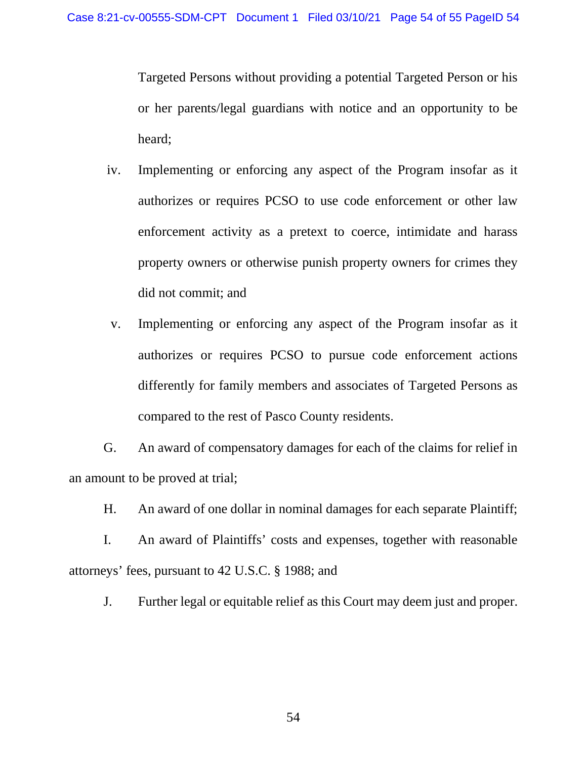Targeted Persons without providing a potential Targeted Person or his or her parents/legal guardians with notice and an opportunity to be heard;

- iv. Implementing or enforcing any aspect of the Program insofar as it authorizes or requires PCSO to use code enforcement or other law enforcement activity as a pretext to coerce, intimidate and harass property owners or otherwise punish property owners for crimes they did not commit; and
- v. Implementing or enforcing any aspect of the Program insofar as it authorizes or requires PCSO to pursue code enforcement actions differently for family members and associates of Targeted Persons as compared to the rest of Pasco County residents.

G. An award of compensatory damages for each of the claims for relief in an amount to be proved at trial;

H. An award of one dollar in nominal damages for each separate Plaintiff;

I. An award of Plaintiffs' costs and expenses, together with reasonable attorneys' fees, pursuant to 42 U.S.C. § 1988; and

J. Further legal or equitable relief as this Court may deem just and proper.